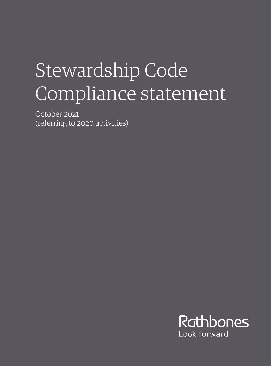## Stewardship Code Compliance statement

October 2021 (referring to 2020 activities)

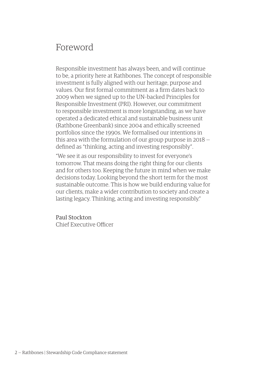## Foreword

Responsible investment has always been, and will continue to be, a priority here at Rathbones. The concept of responsible investment is fully aligned with our heritage, purpose and values. Our first formal commitment as a firm dates back to 2009 when we signed up to the UN–backed Principles for Responsible Investment (PRI). However, our commitment to responsible investment is more longstanding, as we have operated a dedicated ethical and sustainable business unit (Rathbone Greenbank) since 2004 and ethically screened portfolios since the 1990s. We formalised our intentions in this area with the formulation of our group purpose in 2018 defined as "thinking, acting and investing responsibly".

"We see it as our responsibility to invest for everyone's tomorrow. That means doing the right thing for our clients and for others too. Keeping the future in mind when we make decisions today. Looking beyond the short term for the most sustainable outcome. This is how we build enduring value for our clients, make a wider contribution to society and create a lasting legacy. Thinking, acting and investing responsibly."

Paul Stockton Chief Executive Officer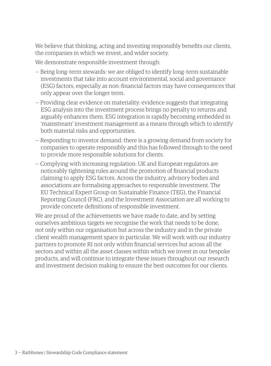We believe that thinking, acting and investing responsibly benefits our clients, the companies in which we invest, and wider society.

We demonstrate responsible investment through:

- Being long–term stewards: we are obliged to identify long–term sustainable investments that take into account environmental, social and governance (ESG) factors, especially as non–financial factors may have consequences that only appear over the longer term.
- Providing clear evidence on materiality: evidence suggests that integrating ESG analysis into the investment process brings no penalty to returns and arguably enhances them. ESG integration is rapidly becoming embedded in 'mainstream' investment management as a means through which to identify both material risks and opportunities.
- Responding to investor demand: there is a growing demand from society for companies to operate responsibly and this has followed through to the need to provide more responsible solutions for clients.
- Complying with increasing regulation: UK and European regulators are noticeably tightening rules around the promotion of financial products claiming to apply ESG factors. Across the industry, advisory bodies and associations are formalising approaches to responsible investment. The EU Technical Expert Group on Sustainable Finance (TEG), the Financial Reporting Council (FRC), and the Investment Association are all working to provide concrete definitions of responsible investment.

We are proud of the achievements we have made to date, and by setting ourselves ambitious targets we recognise the work that needs to be done, not only within our organisation but across the industry and in the private client wealth management space in particular. We will work with our industry partners to promote RI not only within financial services but across all the sectors and within all the asset classes within which we invest in our bespoke products, and will continue to integrate these issues throughout our research and investment decision making to ensure the best outcomes for our clients.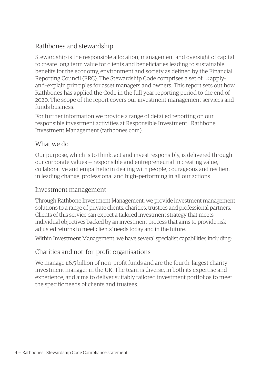## Rathbones and stewardship

Stewardship is the responsible allocation, management and oversight of capital to create long term value for clients and beneficiaries leading to sustainable benefits for the economy, environment and society as defined by the Financial Reporting Council (FRC). The Stewardship Code comprises a set of 12 apply– and–explain principles for asset managers and owners. This report sets out how Rathbones has applied the Code in the full year reporting period to the end of 2020. The scope of the report covers our investment management services and funds business.

For further information we provide a range of detailed reporting on our responsible investment activities at Responsible Investment | Rathbone Investment Management (rathbones.com).

### What we do

Our purpose, which is to think, act and invest responsibly, is delivered through our corporate values — responsible and entrepreneurial in creating value, collaborative and empathetic in dealing with people, courageous and resilient in leading change, professional and high–performing in all our actions.

#### Investment management

Through Rathbone Investment Management, we provide investment management solutions to a range of private clients, charities, trustees and professional partners. Clients of this service can expect a tailored investment strategy that meets individual objectives backed by an investment process that aims to provide risk– adjusted returns to meet clients' needs today and in the future.

Within Investment Management, we have several specialist capabilities including:

## Charities and not–for–profit organisations

We manage £6.5 billion of non-profit funds and are the fourth-largest charity investment manager in the UK. The team is diverse, in both its expertise and experience, and aims to deliver suitably tailored investment portfolios to meet the specific needs of clients and trustees.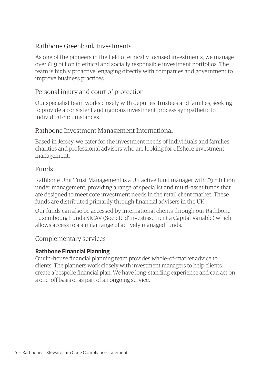### Rathbone Greenbank Investments

As one of the pioneers in the field of ethically focused investments, we manage over £1.9 billion in ethical and socially responsible investment portfolios. The team is highly proactive, engaging directly with companies and government to improve business practices.

### Personal injury and court of protection

Our specialist team works closely with deputies, trustees and families, seeking to provide a consistent and rigorous investment process sympathetic to individual circumstances.

### Rathbone Investment Management International

Based in Jersey, we cater for the investment needs of individuals and families, charities and professional advisers who are looking for offshore investment management.

#### Funds

Rathbone Unit Trust Management is a UK active fund manager with £9.8 billion under management, providing a range of specialist and multi–asset funds that are designed to meet core investment needs in the retail client market. These funds are distributed primarily through financial advisers in the UK.

Our funds can also be accessed by international clients through our Rathbone Luxembourg Funds SICAV (Société d'Investissement à Capital Variable) which allows access to a similar range of actively managed funds.

#### Complementary services

#### **Rathbone Financial Planning**

Our in–house financial planning team provides whole–of–market advice to clients. The planners work closely with investment managers to help clients create a bespoke financial plan. We have long–standing experience and can act on a one–off basis or as part of an ongoing service.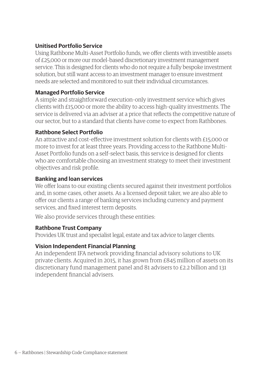#### **Unitised Portfolio Service**

Using Rathbone Multi–Asset Portfolio funds, we offer clients with investible assets of £25,000 or more our model–based discretionary investment management service. This is designed for clients who do not require a fully bespoke investment solution, but still want access to an investment manager to ensure investment needs are selected and monitored to suit their individual circumstances.

#### **Managed Portfolio Service**

A simple and straightforward execution–only investment service which gives clients with £15,000 or more the ability to access high–quality investments. The service is delivered via an adviser at a price that reflects the competitive nature of our sector, but to a standard that clients have come to expect from Rathbones.

#### **Rathbone Select Portfolio**

An attractive and cost–effective investment solution for clients with £15,000 or more to invest for at least three years. Providing access to the Rathbone Multi– Asset Portfolio funds on a self–select basis, this service is designed for clients who are comfortable choosing an investment strategy to meet their investment objectives and risk profile.

#### **Banking and loan services**

We offer loans to our existing clients secured against their investment portfolios and, in some cases, other assets. As a licensed deposit taker, we are also able to offer our clients a range of banking services including currency and payment services, and fixed interest term deposits.

We also provide services through these entities:

#### **Rathbone Trust Company**

Provides UK trust and specialist legal, estate and tax advice to larger clients.

#### **Vision Independent Financial Planning**

An independent IFA network providing financial advisory solutions to UK private clients. Acquired in 2015, it has grown from £845 million of assets on its discretionary fund management panel and 81 advisers to £2.2 billion and 131 independent financial advisers.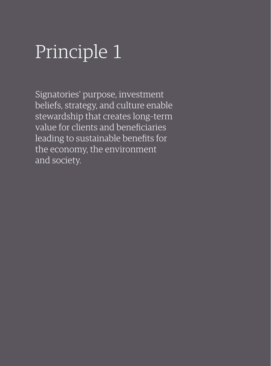## Principle 1

Signatories' purpose, investment beliefs, strategy, and culture enable stewardship that creates long–term value for clients and beneficiaries leading to sustainable benefits for the economy, the environment and society.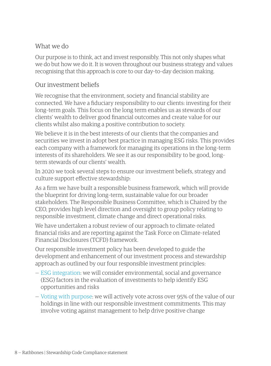## What we do

Our purpose is to think, act and invest responsibly. This not only shapes what we do but how we do it. It is woven throughout our business strategy and values recognising that this approach is core to our day–to–day decision making.

#### Our investment beliefs

We recognise that the environment, society and financial stability are connected. We have a fiduciary responsibility to our clients: investing for their long–term goals. This focus on the long term enables us as stewards of our clients' wealth to deliver good financial outcomes and create value for our clients whilst also making a positive contribution to society.

We believe it is in the best interests of our clients that the companies and securities we invest in adopt best practice in managing ESG risks. This provides each company with a framework for managing its operations in the long–term interests of its shareholders. We see it as our responsibility to be good, long– term stewards of our clients' wealth.

In 2020 we took several steps to ensure our investment beliefs, strategy and culture support effective stewardship:

As a firm we have built a responsible business framework, which will provide the blueprint for driving long–term, sustainable value for our broader stakeholders. The Responsible Business Committee, which is Chaired by the CEO, provides high level direction and oversight to group policy relating to responsible investment, climate change and direct operational risks.

We have undertaken a robust review of our approach to climate–related financial risks and are reporting against the Task Force on Climate–related Financial Disclosures (TCFD) framework.

Our responsible investment policy has been developed to guide the development and enhancement of our investment process and stewardship approach as outlined by our four responsible investment principles:

- [ESG integration](https://www.rathbones.com/responsible-investment/ESG-integration): we will consider environmental, social and governance (ESG) factors in the evaluation of investments to help identify ESG opportunities and risks
- [Voting with purpose:](https://www.rathbones.com/responsible-investment/voting) we will actively vote across over 95% of the value of our holdings in line with our responsible investment commitments. This may involve voting against management to help drive positive change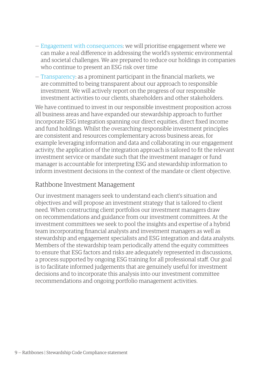- [Engagement with consequences](https://www.rathbones.com/responsible-investment/engagement): we will prioritise engagement where we can make a real difference in addressing the world's systemic environmental and societal challenges. We are prepared to reduce our holdings in companies who continue to present an ESG risk over time
- [Transparency:](https://www.rathbones.com/investment-approach/responsible-investment/transparency) as a prominent participant in the financial markets, we are committed to being transparent about our approach to responsible investment. We will actively report on the progress of our responsible investment activities to our clients, shareholders and other stakeholders.

We have continued to invest in our responsible investment proposition across all business areas and have expanded our stewardship approach to further incorporate ESG integration spanning our direct equities, direct fixed income and fund holdings. Whilst the overarching responsible investment principles are consistent and resources complementary across business areas, for example leveraging information and data and collaborating in our engagement activity, the application of the integration approach is tailored to fit the relevant investment service or mandate such that the investment manager or fund manager is accountable for interpreting ESG and stewardship information to inform investment decisions in the context of the mandate or client objective.

#### Rathbone Investment Management

Our investment managers seek to understand each client's situation and objectives and will propose an investment strategy that is tailored to client need. When constructing client portfolios our investment managers draw on recommendations and guidance from our investment committees. At the investment committees we seek to pool the insights and expertise of a hybrid team incorporating financial analysts and investment managers as well as stewardship and engagement specialists and ESG integration and data analysts. Members of the stewardship team periodically attend the equity committees to ensure that ESG factors and risks are adequately represented in discussions, a process supported by ongoing ESG training for all professional staff. Our goal is to facilitate informed judgements that are genuinely useful for investment decisions and to incorporate this analysis into our investment committee recommendations and ongoing portfolio management activities.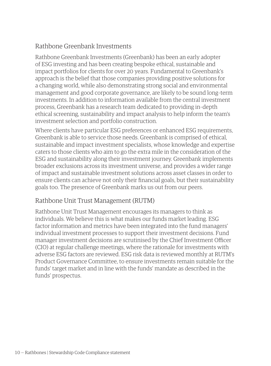## Rathbone Greenbank Investments

Rathbone Greenbank Investments (Greenbank) has been an early adopter of ESG investing and has been creating bespoke ethical, sustainable and impact portfolios for clients for over 20 years. Fundamental to Greenbank's approach is the belief that those companies providing positive solutions for a changing world, while also demonstrating strong social and environmental management and good corporate governance, are likely to be sound long–term investments. In addition to information available from the central investment process, Greenbank has a research team dedicated to providing in–depth ethical screening, sustainability and impact analysis to help inform the team's investment selection and portfolio construction.

Where clients have particular ESG preferences or enhanced ESG requirements, Greenbank is able to service those needs. Greenbank is comprised of ethical, sustainable and impact investment specialists, whose knowledge and expertise caters to those clients who aim to go the extra mile in the consideration of the ESG and sustainability along their investment journey. Greenbank implements broader exclusions across its investment universe, and provides a wider range of impact and sustainable investment solutions across asset classes in order to ensure clients can achieve not only their financial goals, but their sustainability goals too. The presence of Greenbank marks us out from our peers.

## Rathbone Unit Trust Management (RUTM)

Rathbone Unit Trust Management encourages its managers to think as individuals. We believe this is what makes our funds market leading. ESG factor information and metrics have been integrated into the fund managers' individual investment processes to support their investment decisions. Fund manager investment decisions are scrutinised by the Chief Investment Officer (CIO) at regular challenge meetings, where the rationale for investments with adverse ESG factors are reviewed. ESG risk data is reviewed monthly at RUTM's Product Governance Committee, to ensure investments remain suitable for the funds' target market and in line with the funds' mandate as described in the funds' prospectus.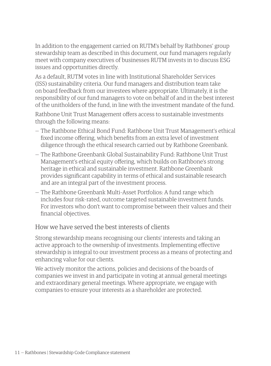In addition to the engagement carried on RUTM's behalf by Rathbones' group stewardship team as described in this document, our fund managers regularly meet with company executives of businesses RUTM invests in to discuss ESG issues and opportunities directly.

As a default, RUTM votes in line with Institutional Shareholder Services (ISS) sustainability criteria. Our fund managers and distribution team take on board feedback from our investees where appropriate. Ultimately, it is the responsibility of our fund managers to vote on behalf of and in the best interest of the unitholders of the fund, in line with the investment mandate of the fund.

Rathbone Unit Trust Management offers access to sustainable investments through the following means:

- The Rathbone Ethical Bond Fund: Rathbone Unit Trust Management's ethical fixed income offering, which benefits from an extra level of investment diligence through the ethical research carried out by Rathbone Greenbank.
- The Rathbone Greenbank Global Sustainability Fund: Rathbone Unit Trust Management's ethical equity offering, which builds on Rathbone's strong heritage in ethical and sustainable investment. Rathbone Greenbank provides significant capability in terms of ethical and sustainable research and are an integral part of the investment process.
- The Rathbone Greenbank Multi–Asset Portfolios: A fund range which includes four risk–rated, outcome targeted sustainable investment funds. For investors who don't want to compromise between their values and their financial objectives.

### How we have served the best interests of clients

Strong stewardship means recognising our clients' interests and taking an active approach to the ownership of investments. Implementing effective stewardship is integral to our investment process as a means of protecting and enhancing value for our clients.

We actively monitor the actions, policies and decisions of the boards of companies we invest in and participate in voting at annual general meetings and extraordinary general meetings. Where appropriate, we engage with companies to ensure your interests as a shareholder are protected.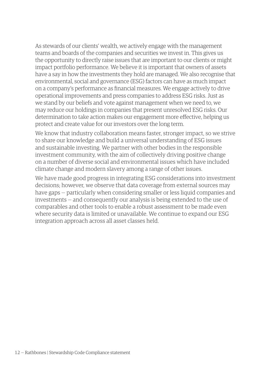As stewards of our clients' wealth, we actively engage with the management teams and boards of the companies and securities we invest in. This gives us the opportunity to directly raise issues that are important to our clients or might impact portfolio performance. We believe it is important that owners of assets have a say in how the investments they hold are managed. We also recognise that environmental, social and governance (ESG) factors can have as much impact on a company's performance as financial measures. We engage actively to drive operational improvements and press companies to address ESG risks. Just as we stand by our beliefs and vote against management when we need to, we may reduce our holdings in companies that present unresolved ESG risks. Our determination to take action makes our engagement more effective, helping us protect and create value for our investors over the long term.

We know that industry collaboration means faster, stronger impact, so we strive to share our knowledge and build a universal understanding of ESG issues and sustainable investing. We partner with other bodies in the responsible investment community, with the aim of collectively driving positive change on a number of diverse social and environmental issues which have included climate change and modern slavery among a range of other issues.

We have made good progress in integrating ESG considerations into investment decisions; however, we observe that data coverage from external sources may have gaps — particularly when considering smaller or less liquid companies and investments — and consequently our analysis is being extended to the use of comparables and other tools to enable a robust assessment to be made even where security data is limited or unavailable. We continue to expand our ESG integration approach across all asset classes held.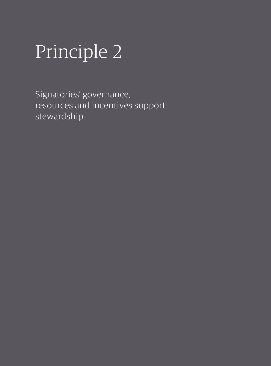## Principle 2

Signatories' governance, resources and incentives support stewardship.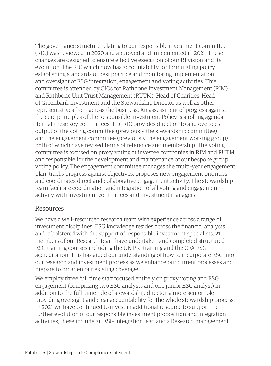The governance structure relating to our responsible investment committee (RIC) was reviewed in 2020 and approved and implemented in 2021. These changes are designed to ensure effective execution of our RI vision and its evolution. The RIC which now has accountability for formulating policy, establishing standards of best practice and monitoring implementation and oversight of ESG integration, engagement and voting activities. This committee is attended by CIOs for Rathbone Investment Management (RIM) and Rathbone Unit Trust Management (RUTM), Head of Charities, Head of Greenbank investment and the Stewardship Director as well as other representatives from across the business. An assessment of progress against the core principles of the Responsible Investment Policy is a rolling agenda item at these key committees. The RIC provides direction to and oversees output of the voting committee (previously the stewardship committee) and the engagement committee (previously the engagement working group) both of which have revised terms of reference and membership. The voting committee is focused on proxy voting at investee companies in RIM and RUTM and responsible for the development and maintenance of our bespoke group voting policy. The engagement committee manages the multi–year engagement plan, tracks progress against objectives, proposes new engagement priorities and coordinates direct and collaborative engagement activity. The stewardship team facilitate coordination and integration of all voting and engagement activity with investment committees and investment managers.

#### Resources

We have a well–resourced research team with experience across a range of investment disciplines. ESG knowledge resides across the financial analysts and is bolstered with the support of responsible investment specialists. 21 members of our Research team have undertaken and completed structured ESG training courses including the UN PRI training and the CFA ESG accreditation. This has aided our understanding of how to incorporate ESG into our research and investment process as we enhance our current processes and prepare to broaden our existing coverage.

We employ three full time staff focused entirely on proxy voting and ESG engagement (comprising two ESG analysts and one junior ESG analyst) in addition to the full–time role of stewardship director, a more senior role providing oversight and clear accountability for the whole stewardship process. In 2021 we have continued to invest in additional resource to support the further evolution of our responsible investment proposition and integration activities; these include an ESG integration lead and a Research management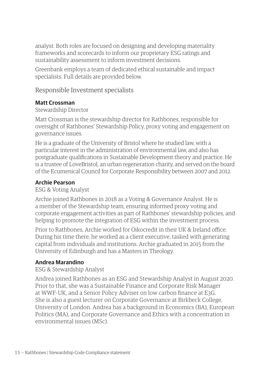analyst. Both roles are focused on designing and developing materiality frameworks and scorecards to inform our proprietary ESG ratings and sustainability assessment to inform investment decisions.

Greenbank employs a team of dedicated ethical sustainable and impact specialists. Full details are provided below.

Responsible Investment specialists

#### **Matt Crossman**

Stewardship Director

Matt Crossman is the stewardship director for Rathbones, responsible for oversight of Rathbones' Stewardship Policy, proxy voting and engagement on governance issues.

He is a graduate of the University of Bristol where he studied law, with a particular interest in the administration of environmental law, and also has postgraduate qualifications in Sustainable Development theory and practice. He is a trustee of LoveBristol, an urban regeneration charity, and served on the board of the Ecumenical Council for Corporate Responsibility between 2007 and 2012.

#### **Archie Pearson**

ESG & Voting Analyst

Archie joined Rathbones in 2018 as a Voting & Governance Analyst. He is a member of the Stewardship team, ensuring informed proxy voting and corporate engagement activities as part of Rathbones' stewardship policies, and helping to promote the integration of ESG within the investment process.

Prior to Rathbones, Archie worked for Oikocredit in their UK & Ireland office. During his time there, he worked as a client executive, tasked with generating capital from individuals and institutions. Archie graduated in 2015 from the University of Edinburgh and has a Masters in Theology.

#### **Andrea Marandino**

#### ESG & Stewardship Analyst

Andrea joined Rathbones as an ESG and Stewardship Analyst in August 2020. Prior to that, she was a Sustainable Finance and Corporate Risk Manager at WWF–UK, and a Senior Policy Adviser on low carbon finance at E3G. She is also a guest lecturer on Corporate Governance at Birkbeck College, University of London. Andrea has a background in Economics (BA), European Politics (MA), and Corporate Governance and Ethics with a concentration in environmental issues (MSc).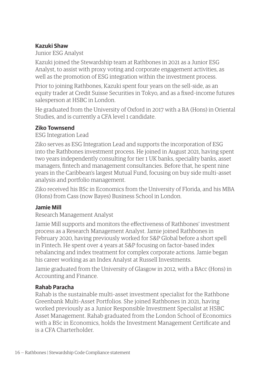#### **Kazuki Shaw**

Junior ESG Analyst

Kazuki joined the Stewardship team at Rathbones in 2021 as a Junior ESG Analyst, to assist with proxy voting and corporate engagement activities, as well as the promotion of ESG integration within the investment process.

Prior to joining Rathbones, Kazuki spent four years on the sell–side, as an equity trader at Credit Suisse Securities in Tokyo, and as a fixed–income futures salesperson at HSBC in London.

He graduated from the University of Oxford in 2017 with a BA (Hons) in Oriental Studies, and is currently a CFA level 1 candidate.

#### **Ziko Townsend**

ESG Integration Lead

Ziko serves as ESG Integration Lead and supports the incorporation of ESG into the Rathbones investment process. He joined in August 2021, having spent two years independently consulting for tier 1 UK banks, speciality banks, asset managers, fintech and management consultancies. Before that, he spent nine years in the Caribbean's largest Mutual Fund, focusing on buy side multi–asset analysis and portfolio management.

Ziko received his BSc in Economics from the University of Florida, and his MBA (Hons) from Cass (now Bayes) Business School in London.

#### **Jamie Mill**

Research Management Analyst

Jamie Mill supports and monitors the effectiveness of Rathbones' investment process as a Research Management Analyst. Jamie joined Rathbones in February 2020, having previously worked for S&P Global before a short spell in Fintech. He spent over 4 years at S&P focusing on factor–based index rebalancing and index treatment for complex corporate actions. Jamie began his career working as an Index Analyst at Russell Investments.

Jamie graduated from the University of Glasgow in 2012, with a BAcc (Hons) in Accounting and Finance.

#### **Rahab Paracha**

Rahab is the sustainable multi–asset investment specialist for the Rathbone Greenbank Multi–Asset Portfolios. She joined Rathbones in 2021, having worked previously as a Junior Responsible Investment Specialist at HSBC Asset Management. Rahab graduated from the London School of Economics with a BSc in Economics, holds the Investment Management Certificate and is a CFA Charterholder.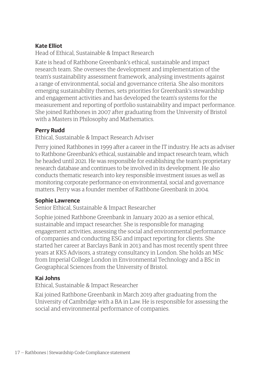#### **Kate Elliot**

Head of Ethical, Sustainable & Impact Research

Kate is head of Rathbone Greenbank's ethical, sustainable and impact research team. She oversees the development and implementation of the team's sustainability assessment framework, analysing investments against a range of environmental, social and governance criteria. She also monitors emerging sustainability themes, sets priorities for Greenbank's stewardship and engagement activities and has developed the team's systems for the measurement and reporting of portfolio sustainability and impact performance. She joined Rathbones in 2007 after graduating from the University of Bristol with a Masters in Philosophy and Mathematics.

#### **Perry Rudd**

Ethical, Sustainable & Impact Research Adviser

Perry joined Rathbones in 1999 after a career in the IT industry. He acts as adviser to Rathbone Greenbank's ethical, sustainable and impact research team, which he headed until 2021. He was responsible for establishing the team's proprietary research database and continues to be involved in its development. He also conducts thematic research into key responsible investment issues as well as monitoring corporate performance on environmental, social and governance matters. Perry was a founder member of Rathbone Greenbank in 2004.

#### **Sophie Lawrence**

Senior Ethical, Sustainable & Impact Researcher

Sophie joined Rathbone Greenbank in January 2020 as a senior ethical, sustainable and impact researcher. She is responsible for managing engagement activities, assessing the social and environmental performance of companies and conducting ESG and impact reporting for clients. She started her career at Barclays Bank in 2013 and has most recently spent three years at KKS Advisors, a strategy consultancy in London. She holds an MSc from Imperial College London in Environmental Technology and a BSc in Geographical Sciences from the University of Bristol.

#### **Kai Johns**

Ethical, Sustainable & Impact Researcher

Kai joined Rathbone Greenbank in March 2019 after graduating from the University of Cambridge with a BA in Law. He is responsible for assessing the social and environmental performance of companies.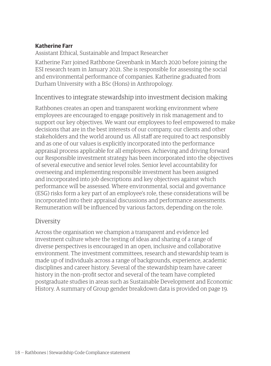#### **Katherine Farr**

Assistant Ethical, Sustainable and Impact Researcher

Katherine Farr joined Rathbone Greenbank in March 2020 before joining the ESI research team in January 2021. She is responsible for assessing the social and environmental performance of companies. Katherine graduated from Durham University with a BSc (Hons) in Anthropology.

#### Incentives to integrate stewardship into investment decision making

Rathbones creates an open and transparent working environment where employees are encouraged to engage positively in risk management and to support our key objectives. We want our employees to feel empowered to make decisions that are in the best interests of our company, our clients and other stakeholders and the world around us. All staff are required to act responsibly and as one of our values is explicitly incorporated into the performance appraisal process applicable for all employees. Achieving and driving forward our Responsible investment strategy has been incorporated into the objectives of several executive and senior level roles. Senior level accountability for overseeing and implementing responsible investment has been assigned and incorporated into job descriptions and key objectives against which performance will be assessed. Where environmental, social and governance (ESG) risks form a key part of an employee's role, these considerations will be incorporated into their appraisal discussions and performance assessments. Remuneration will be influenced by various factors, depending on the role.

#### Diversity

Across the organisation we champion a transparent and evidence led investment culture where the testing of ideas and sharing of a range of diverse perspectives is encouraged in an open, inclusive and collaborative environment. The investment committees, research and stewardship team is made up of individuals across a range of backgrounds, experience, academic disciplines and career history. Several of the stewardship team have career history in the non–profit sector and several of the team have completed postgraduate studies in areas such as Sustainable Development and Economic History. A summary of Group gender breakdown data is provided on page 19.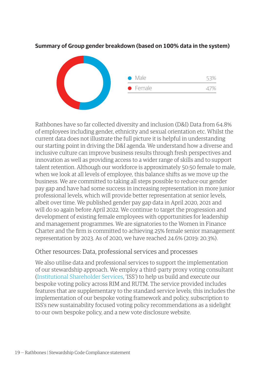# Male 53% Female 47%

#### **Summary of Group gender breakdown (based on 100% data in the system)**

Rathbones have so far collected diversity and inclusion (D&I) Data from 64.8% of employees including gender, ethnicity and sexual orientation etc. Whilst the current data does not illustrate the full picture it is helpful in understanding our starting point in driving the D&I agenda. We understand how a diverse and inclusive culture can improve business results through fresh perspectives and innovation as well as providing access to a wider range of skills and to support talent retention. Although our workforce is approximately 50:50 female to male, when we look at all levels of employee, this balance shifts as we move up the business. We are committed to taking all steps possible to reduce our gender pay gap and have had some success in increasing representation in more junior professional levels, which will provide better representation at senior levels, albeit over time. We published gender pay gap data in April 2020, 2021 and will do so again before April 2022. We continue to target the progression and development of existing female employees with opportunities for leadership and management programmes. We are signatories to the Women in Finance Charter and the firm is committed to achieving 25% female senior management representation by 2023. As of 2020, we have reached 24.6% (2019: 20.3%).

#### Other resources: Data, professional services and processes

We also utilise data and professional services to support the implementation of our stewardship approach. We employ a third–party proxy voting consultant [\(Institutional Shareholder Services,](https://www.issgovernance.com/) 'ISS') to help us build and execute our bespoke voting policy across RIM and RUTM. The service provided includes features that are supplementary to the standard service levels; this includes the implementation of our bespoke voting framework and policy, subscription to ISS's new sustainability focused voting policy recommendations as a sidelight to our own bespoke policy, and a new vote disclosure website.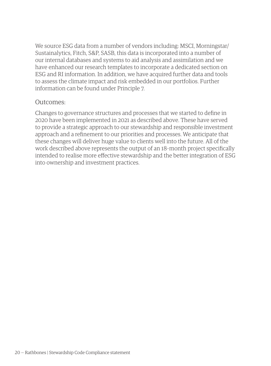We source ESG data from a number of vendors including: MSCI, Morningstar/ Sustainalytics, Fitch, S&P, SASB, this data is incorporated into a number of our internal databases and systems to aid analysis and assimilation and we have enhanced our research templates to incorporate a dedicated section on ESG and RI information. In addition, we have acquired further data and tools to assess the climate impact and risk embedded in our portfolios. Further information can be found under Principle 7.

#### Outcomes:

Changes to governance structures and processes that we started to define in 2020 have been implemented in 2021 as described above. These have served to provide a strategic approach to our stewardship and responsible investment approach and a refinement to our priorities and processes. We anticipate that these changes will deliver huge value to clients well into the future. All of the work described above represents the output of an 18–month project specifically intended to realise more effective stewardship and the better integration of ESG into ownership and investment practices.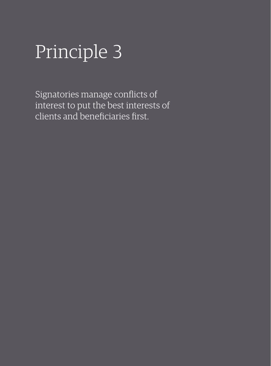## Principle 3

Signatories manage conflicts of interest to put the best interests of clients and beneficiaries first.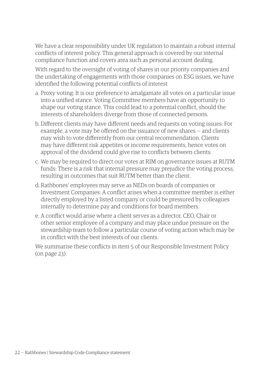We have a clear responsibility under UK regulation to maintain a robust internal conflicts of interest policy. This general approach is covered by our internal compliance function and covers area such as personal account dealing.

With regard to the oversight of voting of shares in our priority companies and the undertaking of engagements with those companies on ESG issues, we have identified the following potential conflicts of interest

- a. Proxy voting: It is our preference to amalgamate all votes on a particular issue into a unified stance. Voting Committee members have an opportunity to shape our voting stance. This could lead to a potential conflict, should the interests of shareholders diverge from those of connected persons.
- b. Different clients may have different needs and requests on voting issues: For example, a vote may be offered on the issuance of new shares — and clients may wish to vote differently from our central recommendation. Clients may have different risk appetites or income requirements, hence votes on approval of the dividend could give rise to conflicts between clients.
- c. We may be required to direct our votes at RIM on governance issues at RUTM funds: There is a risk that internal pressure may prejudice the voting process, resulting in outcomes that suit RUTM better than the client.
- d. Rathbones' employees may serve as NEDs on boards of companies or Investment Companies: A conflict arises when a committee member is either directly employed by a listed company or could be pressured by colleagues internally to determine pay and conditions for board members.
- e. A conflict would arise where a client serves as a director, CEO, Chair or other senior employee of a company and may place undue pressure on the stewardship team to follow a particular course of voting action which may be in conflict with the best interests of our clients.

We summarise these conflicts in item 5 of our Responsible Investment Policy (on page 23).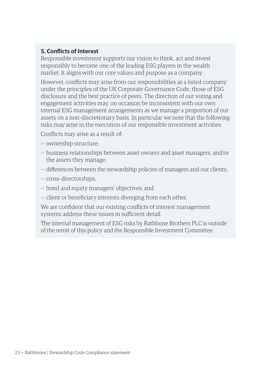#### **5. Conflicts of Interest**

Responsible investment supports our vision to think, act and invest responsibly to become one of the leading ESG players in the wealth market. It aligns with our core values and purpose as a company.

However, conflicts may arise from our responsibilities as a listed company under the principles of the UK Corporate Governance Code, those of ESG disclosure and the best practice of peers. The direction of our voting and engagement activities may, on occasion be inconsistent with our own internal ESG management arrangements as we manage a proportion of our assets on a non–discretionary basis. In particular we note that the following risks may arise in the execution of our responsible investment activities.

Conflicts may arise as a result of:

- ownership structure;
- business relationships between asset owners and asset managers, and/or the assets they manage;
- differences between the stewardship policies of managers and our clients;
- cross–directorships;
- bond and equity managers' objectives; and
- client or beneficiary interests diverging from each other.

We are confident that our existing conflicts of interest management systems address these issues in sufficient detail.

The internal management of ESG risks by Rathbone Brothers PLC is outside of the remit of this policy and the Responsible Investment Committee.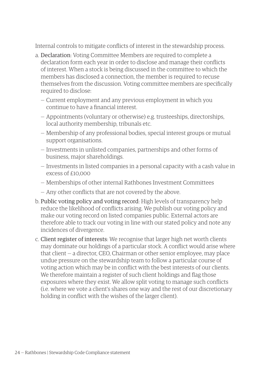Internal controls to mitigate conflicts of interest in the stewardship process.

- a. Declaration: Voting Committee Members are required to complete a declaration form each year in order to disclose and manage their conflicts of interest. When a stock is being discussed in the committee to which the members has disclosed a connection, the member is required to recuse themselves from the discussion. Voting committee members are specifically required to disclose:
	- Current employment and any previous employment in which you continue to have a financial interest.
	- Appointments (voluntary or otherwise) e.g. trusteeships, directorships, local authority membership, tribunals etc.
	- Membership of any professional bodies, special interest groups or mutual support organisations.
	- Investments in unlisted companies, partnerships and other forms of business, major shareholdings.
	- Investments in listed companies in a personal capacity with a cash value in excess of  $f10,000$
	- Memberships of other internal Rathbones Investment Committees
	- Any other conflicts that are not covered by the above.
- b. Public voting policy and voting record: High levels of transparency help reduce the likelihood of conflicts arising. We publish our voting policy and make our voting record on listed companies public. External actors are therefore able to track our voting in line with our stated policy and note any incidences of divergence.
- c. Client register of interests: We recognise that larger high net worth clients may dominate our holdings of a particular stock. A conflict would arise where that client — a director, CEO, Chairman or other senior employee, may place undue pressure on the stewardship team to follow a particular course of voting action which may be in conflict with the best interests of our clients. We therefore maintain a register of such client holdings and flag those exposures where they exist. We allow split voting to manage such conflicts (i.e. where we vote a client's shares one way and the rest of our discretionary holding in conflict with the wishes of the larger client).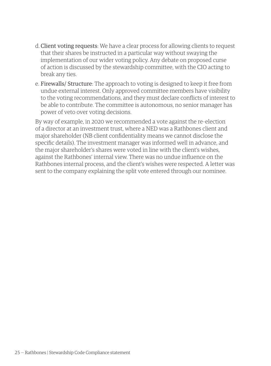- d. Client voting requests: We have a clear process for allowing clients to request that their shares be instructed in a particular way without swaying the implementation of our wider voting policy. Any debate on proposed curse of action is discussed by the stewardship committee, with the CIO acting to break any ties.
- e. Firewalls/ Structure: The approach to voting is designed to keep it free from undue external interest. Only approved committee members have visibility to the voting recommendations, and they must declare conflicts of interest to be able to contribute. The committee is autonomous, no senior manager has power of veto over voting decisions.

By way of example, in 2020 we recommended a vote against the re–election of a director at an investment trust, where a NED was a Rathbones client and major shareholder (NB client confidentiality means we cannot disclose the specific details). The investment manager was informed well in advance, and the major shareholder's shares were voted in line with the client's wishes, against the Rathbones' internal view. There was no undue influence on the Rathbones internal process, and the client's wishes were respected. A letter was sent to the company explaining the split vote entered through our nominee.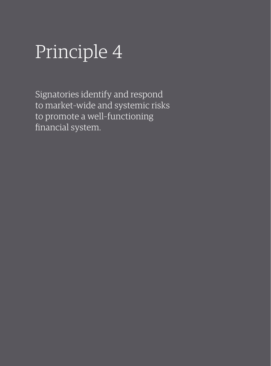## Principle 4

Signatories identify and respond to market–wide and systemic risks to promote a well–functioning financial system.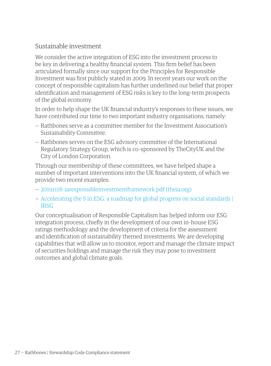### Sustainable investment

We consider the active integration of ESG into the investment process to be key in delivering a healthy financial system. This firm belief has been articulated formally since our support for the Principles for Responsible Investment was first publicly stated in 2009. In recent years our work on the concept of responsible capitalism has further underlined our belief that proper identification and management of ESG risks is key to the long–term prospects of the global economy.

In order to help shape the UK financial industry's responses to these issues, we have contributed our time to two important industry organisations, namely:

- Rathbones serve as a committee member for the Investment Association's Sustainability Committee.
- Rathbones serves on the ESG advisory committee of the International Regulatory Strategy Group, which is co–sponsored by TheCityUK and the City of London Corporation.

Through our membership of these committees, we have helped shape a number of important interventions into the UK financial system, of which we provide two recent examples:

- [20191118–iaresponsibleinvestmentframework.pdf \(theia.org\)](https://www.theia.org/sites/default/files/2019-11/20191118-iaresponsibleinvestmentframework.pdf)
- [Accelerating the S in ESG: a roadmap for global progress on social standards |](https://www.irsg.co.uk/resources-and-commentary/accelerating-the-s-in-esg-a-roadmap-for-global-progress-on-social-standards/)  **[IRSG](https://www.irsg.co.uk/resources-and-commentary/accelerating-the-s-in-esg-a-roadmap-for-global-progress-on-social-standards/)**

Our conceptualisation of Responsible Capitalism has helped inform our ESG integration process, chiefly in the development of our own in–house ESG ratings methodology and the development of criteria for the assessment and identification of sustainability themed investments. We are developing capabilities that will allow us to monitor, report and manage the climate impact of securities holdings and manage the risk they may pose to investment outcomes and global climate goals.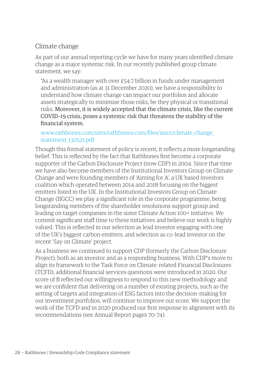## Climate change

As part of our annual reporting cycle we have for many years identified climate change as a major systemic risk. In our recently published group climate statement, we say:

"As a wealth manager with over £54.7 billion in funds under management and administration (as at 31 December 2020), we have a responsibility to understand how climate change can impact our portfolios and allocate assets strategically to minimise those risks, be they physical or transitional risks. Moreover, it is widely accepted that the climate crisis, like the current COVID–19 crisis, poses a systemic risk that threatens the stability of the financial system.

#### [www.rathbones.com/sites/rathbones.com/files/imce/climate\\_change\\_](http://www.rathbones.com/sites/rathbones.com/files/imce/climate_change_statement_130521.pdf) [statement\\_130521.pdf](http://www.rathbones.com/sites/rathbones.com/files/imce/climate_change_statement_130521.pdf)

Though this formal statement of policy is recent, it reflects a more longstanding belief. This is reflected by the fact that Rathbones first become a corporate supporter of the Carbon Disclosure Project (now CDP) in 2004. Since that time we have also become members of the Institutional Investors Group on Climate Change and were founding members of 'Aiming for A', a UK based investors coalition which operated between 2014 and 2018 focusing on the biggest emitters listed in the UK. In the Institutional Investors Group on Climate Change (IIGCC) we play a significant role in the corporate programme, being longstanding members of the shareholder resolutions support group and leading on target companies in the sister Climate Action 100+ initiative. We commit significant staff time to these initiatives and believe our work is highly valued. This is reflected in our selection as lead investor engaging with one of the UK's biggest carbon emitters, and selection as co–lead investor on the recent 'Say on Climate' project.

As a business we continued to support CDP (formerly the Carbon Disclosure Project), both as an investor and as a responding business. With CDP's move to align its framework to the Task Force on Climate–related Financial Disclosures (TCFD), additional financial services questions were introduced in 2020. Our score of B reflected our willingness to respond to this new methodology and we are confident that delivering on a number of existing projects, such as the setting of targets and integration of ESG factors into the decision–making for our investment portfolios, will continue to improve our score. We support the work of the TCFD and in 2020 produced our first response in alignment with its recommendations (see Annual Report pages 70–74).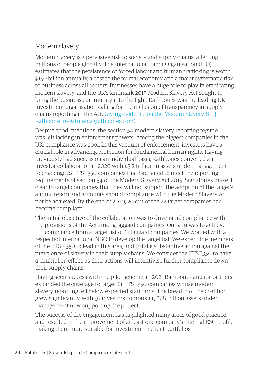## Modern slavery

Modern Slavery is a pervasive risk to society and supply chains, affecting millions of people globally. The International Labor Organisation (ILO) estimates that the persistence of forced labour and human trafficking is worth \$150 billion annually, a cost to the formal economy and a major systematic risk to business across all sectors. Businesses have a huge role to play in eradicating modern slavery, and the UK's landmark 2015 Modern Slavery Act sought to bring the business community into the fight. Rathbones was the leading UK investment organisation calling for the inclusion of transparency in supply chains reporting in the Act. [Giving evidence on the Modern Slavery Bill |](https://www.rathbones.com/knowledge-and-insight/giving-evidence-modern-slavery-bill)  [Rathbone Investments \(rathbones.com\)](https://www.rathbones.com/knowledge-and-insight/giving-evidence-modern-slavery-bill)

Despite good intentions, the section 54 modern slavery reporting regime was left lacking in enforcement powers. Among the biggest companies in the UK, compliance was poor. In this vacuum of enforcement, investors have a crucial role in advancing protection for fundamental human rights. Having previously had success on an individual basis, Rathbones convened an investor collaboration in 2020 with £3.2 trillion in assets under management to challenge 22 FTSE350 companies that had failed to meet the reporting requirements of section 54 of the Modern Slavery Act 2015. Signatories make it clear to target companies that they will not support the adoption of the target's annual report and accounts should compliance with the Modern Slavery Act not be achieved. By the end of 2020, 20 out of the 22 target companies had become compliant.

The initial objective of the collaboration was to drive rapid compliance with the provisions of the Act among laggard companies. Our aim was to achieve full compliance from a target list of 61 laggard companies. We worked with a respected international NGO to develop the target list. We expect the members of the FTSE 350 to lead in this area, and to take substantive action against the prevalence of slavery in their supply chains. We consider the FTSE350 to have a 'multiplier' effect, as their actions will incentivise further compliance down their supply chains.

Having seen success with the pilot scheme, in 2021 Rathbones and its partners expanded the coverage to target 61 FTSE350 companies whose modern slavery reporting fell below expected standards. The breadth of the coalition grew significantly. with 97 investors comprising £7.8 trillion assets under management now supporting the project.

The success of the engagement has highlighted many areas of good practice, and resulted in the improvement of at least one company's internal ESG profile, making them more suitable for investment in client portfolios.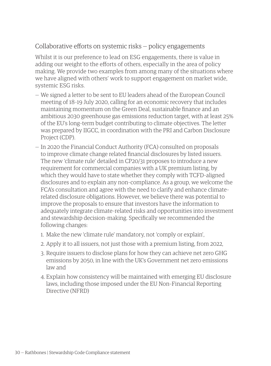## Collaborative efforts on systemic risks — policy engagements

Whilst it is our preference to lead on ESG engagements, there is value in adding our weight to the efforts of others, especially in the area of policy making. We provide two examples from among many of the situations where we have aligned with others' work to support engagement on market wide, systemic ESG risks.

- We signed a letter to be sent to EU leaders ahead of the European Council meeting of 18–19 July 2020, calling for an economic recovery that includes maintaining momentum on the Green Deal, sustainable finance and an ambitious 2030 greenhouse gas emissions reduction target, with at least 25% of the EU's long–term budget contributing to climate objectives. The letter was prepared by IIGCC, in coordination with the PRI and Carbon Disclosure Project (CDP).
- In 2020 the Financial Conduct Authority (FCA) consulted on proposals to improve climate change related financial disclosures by listed issuers. The new 'climate rule' detailed in CP20/31 proposes to introduce a new requirement for commercial companies with a UK premium listing, by which they would have to state whether they comply with TCFD–aligned disclosures and to explain any non–compliance. As a group, we welcome the FCA's consultation and agree with the need to clarify and enhance climate– related disclosure obligations. However, we believe there was potential to improve the proposals to ensure that investors have the information to adequately integrate climate–related risks and opportunities into investment and stewardship decision–making. Specifically we recommended the following changes:
	- 1. Make the new 'climate rule' mandatory, not 'comply or explain',
	- 2. Apply it to all issuers, not just those with a premium listing, from 2022,
	- 3. Require issuers to disclose plans for how they can achieve net zero GHG emissions by 2050, in line with the UK's Government net zero emissions law and
	- 4. Explain how consistency will be maintained with emerging EU disclosure laws, including those imposed under the EU Non–Financial Reporting Directive (NFRD)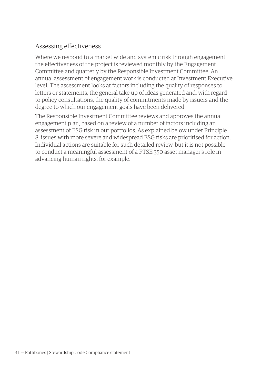### Assessing effectiveness

Where we respond to a market wide and systemic risk through engagement, the effectiveness of the project is reviewed monthly by the Engagement Committee and quarterly by the Responsible Investment Committee. An annual assessment of engagement work is conducted at Investment Executive level. The assessment looks at factors including the quality of responses to letters or statements, the general take up of ideas generated and, with regard to policy consultations, the quality of commitments made by issuers and the degree to which our engagement goals have been delivered.

The Responsible Investment Committee reviews and approves the annual engagement plan, based on a review of a number of factors including an assessment of ESG risk in our portfolios. As explained below under Principle 8, issues with more severe and widespread ESG risks are prioritised for action. Individual actions are suitable for such detailed review, but it is not possible to conduct a meaningful assessment of a FTSE 350 asset manager's role in advancing human rights, for example.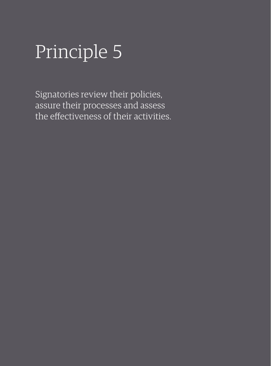## Principle 5

Signatories review their policies, assure their processes and assess the effectiveness of their activities.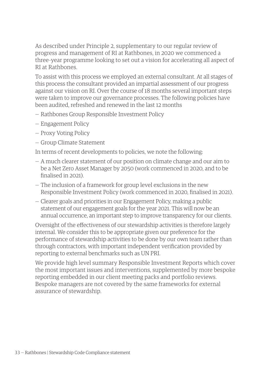As described under Principle 2, supplementary to our regular review of progress and management of RI at Rathbones, in 2020 we commenced a three–year programme looking to set out a vision for accelerating all aspect of RI at Rathbones.

To assist with this process we employed an external consultant. At all stages of this process the consultant provided an impartial assessment of our progress against our vision on RI. Over the course of 18 months several important steps were taken to improve our governance processes. The following policies have been audited, refreshed and renewed in the last 12 months

- Rathbones Group Responsible Investment Policy
- Engagement Policy
- Proxy Voting Policy
- Group Climate Statement

In terms of recent developments to policies, we note the following:

- A much clearer statement of our position on climate change and our aim to be a Net Zero Asset Manager by 2050 (work commenced in 2020, and to be finalised in 2021).
- The inclusion of a framework for group level exclusions in the new Responsible Investment Policy (work commenced in 2020, finalised in 2021).
- Clearer goals and priorities in our Engagement Policy, making a public statement of our engagement goals for the year 2021. This will now be an annual occurrence, an important step to improve transparency for our clients.

Oversight of the effectiveness of our stewardship activities is therefore largely internal. We consider this to be appropriate given our preference for the performance of stewardship activities to be done by our own team rather than through contractors, with important independent verification provided by reporting to external benchmarks such as UN PRI.

We provide high level summary Responsible Investment Reports which cover the most important issues and interventions, supplemented by more bespoke reporting embedded in our client meeting packs and portfolio reviews. Bespoke managers are not covered by the same frameworks for external assurance of stewardship.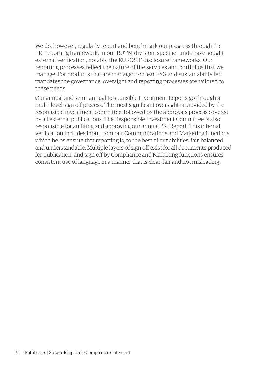We do, however, regularly report and benchmark our progress through the PRI reporting framework. In our RUTM division, specific funds have sought external verification, notably the EUROSIF disclosure frameworks. Our reporting processes reflect the nature of the services and portfolios that we manage. For products that are managed to clear ESG and sustainability led mandates the governance, oversight and reporting processes are tailored to these needs.

Our annual and semi–annual Responsible Investment Reports go through a multi–level sign off process. The most significant oversight is provided by the responsible investment committee, followed by the approvals process covered by all external publications. The Responsible Investment Committee is also responsible for auditing and approving our annual PRI Report. This internal verification includes input from our Communications and Marketing functions, which helps ensure that reporting is, to the best of our abilities, fair, balanced and understandable. Multiple layers of sign off exist for all documents produced for publication, and sign off by Compliance and Marketing functions ensures consistent use of language in a manner that is clear, fair and not misleading.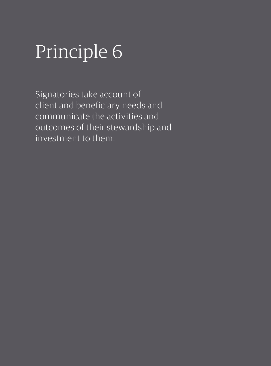## Principle 6

Signatories take account of client and beneficiary needs and communicate the activities and outcomes of their stewardship and investment to them.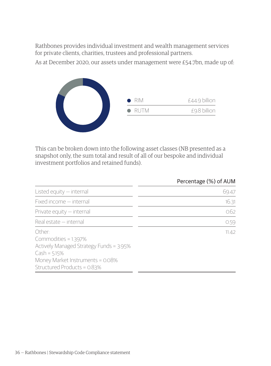Rathbones provides individual investment and wealth management services for private clients, charities, trustees and professional partners.

As at December 2020, our assets under management were £54.7bn, made up of:



This can be broken down into the following asset classes (NB presented as a snapshot only, the sum total and result of all of our bespoke and individual investment portfolios and retained funds).

|                                                                                                                                                                | Percentage (%) of AUM |
|----------------------------------------------------------------------------------------------------------------------------------------------------------------|-----------------------|
| Listed equity $-$ internal                                                                                                                                     | 69.47                 |
| Fixed income - internal                                                                                                                                        | 16.31                 |
| Private equity - internal                                                                                                                                      | 0.62                  |
| Real estate - internal                                                                                                                                         | 0.59                  |
| Other-<br>Commodities = 1.397%<br>Actively Managed Strategy Funds = 3.95%<br>$Cash = 5.15%$<br>Money Market Instruments = 0.08%<br>Structured Products = 0.83% | 11.42                 |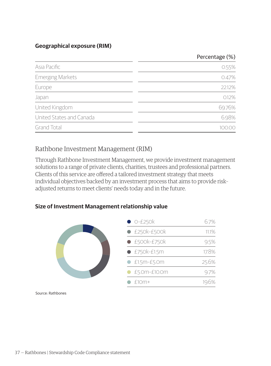#### **Geographical exposure (RIM)**

# Percentage (%)

| Asia Pacific             | 0.55%  |
|--------------------------|--------|
| <b>Emerging Markets</b>  | 0.47%  |
| Europe                   | 22.12% |
| Japan                    | 0.12%  |
| United Kingdom           | 69.76% |
| United States and Canada | 6.98%  |
| <b>Grand Total</b>       | nn     |

# Rathbone Investment Management (RIM)

Through Rathbone Investment Management, we provide investment management solutions to a range of private clients, charities, trustees and professional partners. Clients of this service are offered a tailored investment strategy that meets individual objectives backed by an investment process that aims to provide risk– adjusted returns to meet clients' needs today and in the future.

#### **Size of Investment Management relationship value**

| $O-E250k$             | 6.7%    |
|-----------------------|---------|
| $\bullet$ £250k-£500k | 11.1%   |
| $\bullet$ £500k-£750k | 9.5%    |
| $E750k-E1.5m$         | 17.8%   |
| $E1.5m-E5.0m$         | 25.6%   |
| £5.0m-£10.0m          | $9.7\%$ |
| $f10m+$               |         |
|                       |         |

Source: Rathbones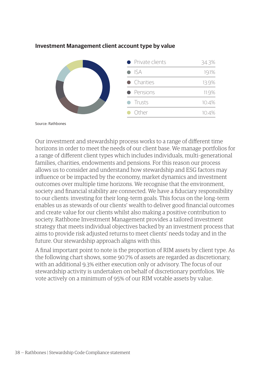|  | • Private clients | 34.3% |
|--|-------------------|-------|
|  | $\bullet$ ISA     | 19.1% |
|  | • Charities       | 13.9% |
|  | • Pensions        | 11.9% |
|  | $\bullet$ Trusts  | 10.4% |
|  | Other             |       |

#### **Investment Management client account type by value**

Source: Rathbones

Our investment and stewardship process works to a range of different time horizons in order to meet the needs of our client base. We manage portfolios for a range of different client types which includes individuals, multi–generational families, charities, endowments and pensions. For this reason our process allows us to consider and understand how stewardship and ESG factors may influence or be impacted by the economy, market dynamics and investment outcomes over multiple time horizons. We recognise that the environment, society and financial stability are connected. We have a fiduciary responsibility to our clients: investing for their long–term goals. This focus on the long–term enables us as stewards of our clients' wealth to deliver good financial outcomes and create value for our clients whilst also making a positive contribution to society. Rathbone Investment Management provides a tailored investment strategy that meets individual objectives backed by an investment process that aims to provide risk adjusted returns to meet clients' needs today and in the future. Our stewardship approach aligns with this.

A final important point to note is the proportion of RIM assets by client type. As the following chart shows, some 90.7% of assets are regarded as discretionary, with an additional 9.3% either execution only or advisory. The focus of our stewardship activity is undertaken on behalf of discretionary portfolios. We vote actively on a minimum of 95% of our RIM votable assets by value.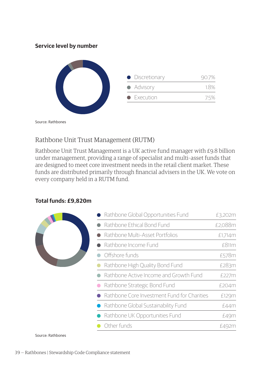#### **Service level by number**



Source: Rathbones

# Rathbone Unit Trust Management (RUTM)

Rathbone Unit Trust Management is a UK active fund manager with £9.8 billion under management, providing a range of specialist and multi–asset funds that are designed to meet core investment needs in the retail client market. These funds are distributed primarily through financial advisers in the UK. We vote on every company held in a RUTM fund.

#### **Total funds: £9,820m**



Source: Rathbones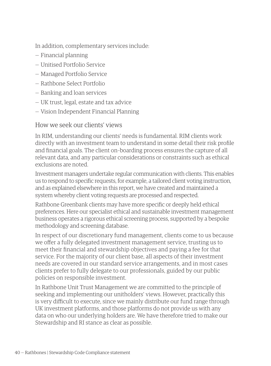In addition, complementary services include:

- Financial planning
- Unitised Portfolio Service
- Managed Portfolio Service
- Rathbone Select Portfolio
- Banking and loan services
- UK trust, legal, estate and tax advice
- Vision Independent Financial Planning

#### How we seek our clients' views

In RIM, understanding our clients' needs is fundamental. RIM clients work directly with an investment team to understand in some detail their risk profile and financial goals. The client on–boarding process ensures the capture of all relevant data, and any particular considerations or constraints such as ethical exclusions are noted.

Investment managers undertake regular communication with clients. This enables us to respond to specific requests, for example, a tailored client voting instruction, and as explained elsewhere in this report, we have created and maintained a system whereby client voting requests are processed and respected.

Rathbone Greenbank clients may have more specific or deeply held ethical preferences. Here our specialist ethical and sustainable investment management business operates a rigorous ethical screening process, supported by a bespoke methodology and screening database.

In respect of our discretionary fund management, clients come to us because we offer a fully delegated investment management service, trusting us to meet their financial and stewardship objectives and paying a fee for that service. For the majority of our client base, all aspects of their investment needs are covered in our standard service arrangements, and in most cases clients prefer to fully delegate to our professionals, guided by our public policies on responsible investment.

In Rathbone Unit Trust Management we are committed to the principle of seeking and implementing our unitholders' views. However, practically this is very difficult to execute, since we mainly distribute our fund range through UK investment platforms, and those platforms do not provide us with any data on who our underlying holders are. We have therefore tried to make our Stewardship and RI stance as clear as possible.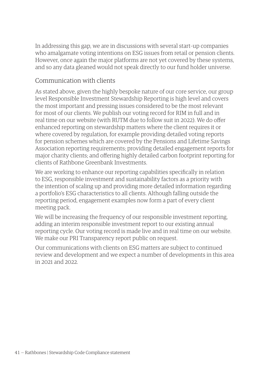In addressing this gap, we are in discussions with several start–up companies who amalgamate voting intentions on ESG issues from retail or pension clients. However, once again the major platforms are not yet covered by these systems, and so any data gleaned would not speak directly to our fund holder universe.

### Communication with clients

As stated above, given the highly bespoke nature of our core service, our group level Responsible Investment Stewardship Reporting is high level and covers the most important and pressing issues considered to be the most relevant for most of our clients. We publish our voting record for RIM in full and in real time on our website (with RUTM due to follow suit in 2022). We do offer enhanced reporting on stewardship matters where the client requires it or where covered by regulation, for example providing detailed voting reports for pension schemes which are covered by the Pensions and Lifetime Savings Association reporting requirements; providing detailed engagement reports for major charity clients; and offering highly detailed carbon footprint reporting for clients of Rathbone Greenbank Investments.

We are working to enhance our reporting capabilities specifically in relation to ESG, responsible investment and sustainability factors as a priority with the intention of scaling up and providing more detailed information regarding a portfolio's ESG characteristics to all clients. Although falling outside the reporting period, engagement examples now form a part of every client meeting pack.

We will be increasing the frequency of our responsible investment reporting, adding an interim responsible investment report to our existing annual reporting cycle. Our voting record is made live and in real time on our website. We make our PRI Transparency report public on request.

Our communications with clients on ESG matters are subject to continued review and development and we expect a number of developments in this area in 2021 and 2022.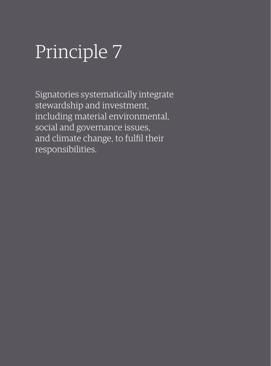Signatories systematically integrate stewardship and investment, including material environmental, social and governance issues, and climate change, to fulfil their responsibilities.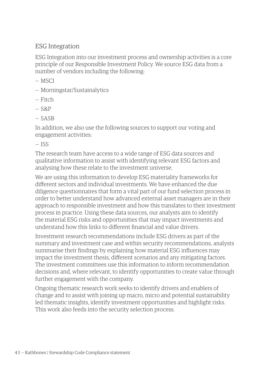### ESG Integration

ESG Integration into our investment process and ownership activities is a core principle of our Responsible Investment Policy. We source ESG data from a number of vendors including the following:

- MSCI
- Morningstar/Sustainalytics
- Fitch
- $-$  S&P
- SASB

In addition, we also use the following sources to support our voting and engagement activities:

— ISS

The research team have access to a wide range of ESG data sources and qualitative information to assist with identifying relevant ESG factors and analysing how these relate to the investment universe.

We are using this information to develop ESG materiality frameworks for different sectors and individual investments. We have enhanced the due diligence questionnaires that form a vital part of our fund selection process in order to better understand how advanced external asset managers are in their approach to responsible investment and how this translates to their investment process in practice. Using these data sources, our analysts aim to identify the material ESG risks and opportunities that may impact investments and understand how this links to different financial and value drivers.

Investment research recommendations include ESG drivers as part of the summary and investment case and within security recommendations, analysts summarise their findings by explaining how material ESG influences may impact the investment thesis, different scenarios and any mitigating factors. The investment committees use this information to inform recommendation decisions and, where relevant, to identify opportunities to create value through further engagement with the company.

Ongoing thematic research work seeks to identify drivers and enablers of change and to assist with joining up macro, micro and potential sustainability led thematic insights, identify investment opportunities and highlight risks. This work also feeds into the security selection process.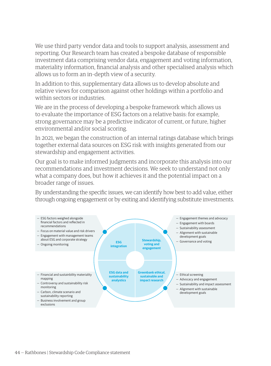We use third party vendor data and tools to support analysis, assessment and reporting. Our Research team has created a bespoke database of responsible investment data comprising vendor data, engagement and voting information, materiality information, financial analysis and other specialised analysis which allows us to form an in–depth view of a security.

In addition to this, supplementary data allows us to develop absolute and relative views for comparison against other holdings within a portfolio and within sectors or industries.

We are in the process of developing a bespoke framework which allows us to evaluate the importance of ESG factors on a relative basis: for example, strong governance may be a predictive indicator of current, or future, higher environmental and/or social scoring.

In 2021, we began the construction of an internal ratings database which brings together external data sources on ESG risk with insights generated from our stewardship and engagement activities.

Our goal is to make informed judgments and incorporate this analysis into our recommendations and investment decisions. We seek to understand not only what a company does, but how it achieves it and the potential impact on a broader range of issues.

By understanding the specific issues, we can identify how best to add value, either through ongoing engagement or by exiting and identifying substitute investments.

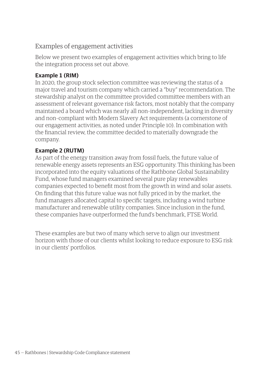# Examples of engagement activities

Below we present two examples of engagement activities which bring to life the integration process set out above.

#### **Example 1 (RIM)**

In 2020, the group stock selection committee was reviewing the status of a major travel and tourism company which carried a "buy" recommendation. The stewardship analyst on the committee provided committee members with an assessment of relevant governance risk factors, most notably that the company maintained a board which was nearly all non–independent, lacking in diversity and non–compliant with Modern Slavery Act requirements (a cornerstone of our engagement activities, as noted under Principle 10). In combination with the financial review, the committee decided to materially downgrade the company.

#### **Example 2 (RUTM)**

As part of the energy transition away from fossil fuels, the future value of renewable energy assets represents an ESG opportunity. This thinking has been incorporated into the equity valuations of the Rathbone Global Sustainability Fund, whose fund managers examined several pure play renewables companies expected to benefit most from the growth in wind and solar assets. On finding that this future value was not fully priced in by the market, the fund managers allocated capital to specific targets, including a wind turbine manufacturer and renewable utility companies. Since inclusion in the fund, these companies have outperformed the fund's benchmark, FTSE World.

These examples are but two of many which serve to align our investment horizon with those of our clients whilst looking to reduce exposure to ESG risk in our clients' portfolios.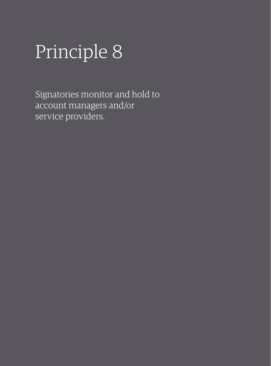Signatories monitor and hold to account managers and/or service providers.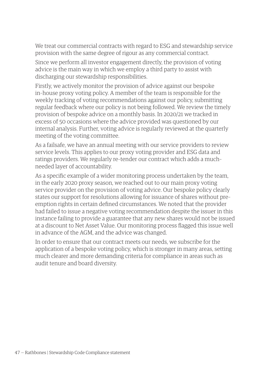We treat our commercial contracts with regard to ESG and stewardship service provision with the same degree of rigour as any commercial contract.

Since we perform all investor engagement directly, the provision of voting advice is the main way in which we employ a third party to assist with discharging our stewardship responsibilities.

Firstly, we actively monitor the provision of advice against our bespoke in–house proxy voting policy. A member of the team is responsible for the weekly tracking of voting recommendations against our policy, submitting regular feedback where our policy is not being followed. We review the timely provision of bespoke advice on a monthly basis. In 2020/21 we tracked in excess of 50 occasions where the advice provided was questioned by our internal analysis. Further, voting advice is regularly reviewed at the quarterly meeting of the voting committee.

As a failsafe, we have an annual meeting with our service providers to review service levels. This applies to our proxy voting provider and ESG data and ratings providers. We regularly re–tender our contract which adds a much– needed layer of accountability.

As a specific example of a wider monitoring process undertaken by the team, in the early 2020 proxy season, we reached out to our main proxy voting service provider on the provision of voting advice. Our bespoke policy clearly states our support for resolutions allowing for issuance of shares without pre– emption rights in certain defined circumstances. We noted that the provider had failed to issue a negative voting recommendation despite the issuer in this instance failing to provide a guarantee that any new shares would not be issued at a discount to Net Asset Value. Our monitoring process flagged this issue well in advance of the AGM, and the advice was changed.

In order to ensure that our contract meets our needs, we subscribe for the application of a bespoke voting policy, which is stronger in many areas, setting much clearer and more demanding criteria for compliance in areas such as audit tenure and board diversity.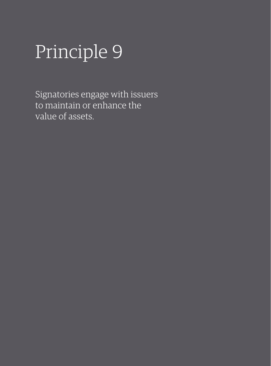Signatories engage with issuers to maintain or enhance the value of assets.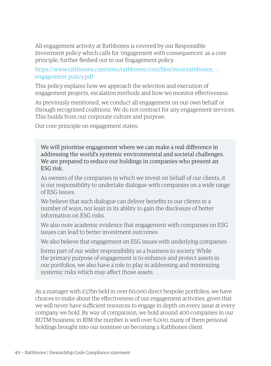All engagement activity at Rathbones is covered by our Responsible Investment policy which calls for 'engagement with consequences' as a core principle, further fleshed out in our Engagement policy.

[https://www.rathbones.com/sites/rathbones.com/files/imce/rathbones\\_–\\_](https://www.rathbones.com/sites/rathbones.com/files/imce/rathbones_-_engagement_policy.pdf) [engagement\\_policy.pdf](https://www.rathbones.com/sites/rathbones.com/files/imce/rathbones_-_engagement_policy.pdf)

This policy explains how we approach the selection and execution of engagement projects, escalation methods and how we monitor effectiveness.

As previously mentioned, we conduct all engagement on our own behalf or through recognised coalitions. We do not contract for any engagement services. This builds from our corporate culture and purpose.

Our core principle on engagement states:

We will prioritise engagement where we can make a real difference in addressing the world's systemic environmental and societal challenges. We are prepared to reduce our holdings in companies who present an ESG risk.

As owners of the companies in which we invest on behalf of our clients, it is our responsibility to undertake dialogue with companies on a wide range of ESG issues.

We believe that such dialogue can deliver benefits to our clients in a number of ways, not least in its ability to gain the disclosure of better information on ESG risks.

We also note academic evidence that engagement with companies on ESG issues can lead to better investment outcomes.

We also believe that engagement on ESG issues with underlying companies

forms part of our wider responsibility as a business to society. While the primary purpose of engagement is to enhance and protect assets in our portfolios, we also have a role to play in addressing and minimizing systemic risks which may affect those assets.

As a manager with £57bn held in over 60,000 direct bespoke portfolios, we have choices to make about the effectiveness of our engagement activities, given that we will never have sufficient resources to engage in depth on every issue at every company we hold. By way of comparison, we hold around 400 companies in our RUTM business; in RIM the number is well over 6,000, many of them personal holdings brought into our nominee on becoming a Rathbones client.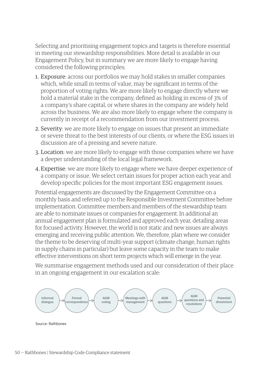Selecting and prioritising engagement topics and targets is therefore essential in meeting our stewardship responsibilities. More detail is available in our Engagement Policy, but in summary we are more likely to engage having considered the following principles;

- 1. Exposure: across our portfolios we may hold stakes in smaller companies which, while small in terms of value, may be significant in terms of the proportion of voting rights. We are more likely to engage directly where we hold a material stake in the company, defined as holding in excess of 3% of a company's share capital, or where shares in the company are widely held across the business. We are also more likely to engage where the company is currently in receipt of a recommendation from our investment process.
- 2. Severity: we are more likely to engage on issues that present an immediate or severe threat to the best interests of our clients, or where the ESG issues in discussion are of a pressing and severe nature.
- 3. Location: we are more likely to engage with those companies where we have a deeper understanding of the local legal framework.
- 4.Expertise: we are more likely to engage where we have deeper experience of a company or issue. We select certain issues for proper action each year and develop specific policies for the most important ESG engagement issues.

Potential engagements are discussed by the Engagement Committee on a monthly basis and referred up to the Responsible Investment Committee before implementation. Committee members and members of the stewardship team are able to nominate issues or companies for engagement. In additional an annual engagement plan is formulated and approved each year, detailing areas for focused activity. However, the world is not static and new issues are always emerging and receiving public attention. We, therefore, plan where we consider the theme to be deserving of multi–year support (climate change, human rights in supply chains in particular) but leave some capacity in the team to make effective interventions on short term projects which will emerge in the year.

We summarise engagement methods used and our consideration of their place in an ongoing engagement in our escalation scale:

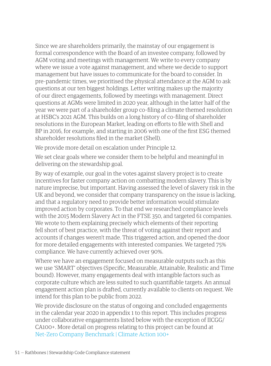Since we are shareholders primarily, the mainstay of our engagement is formal correspondence with the Board of an investee company, followed by AGM voting and meetings with management. We write to every company where we issue a vote against management, and where we decide to support management but have issues to communicate for the board to consider. In pre–pandemic times, we prioritised the physical attendance at the AGM to ask questions at our ten biggest holdings. Letter writing makes up the majority of our direct engagements, followed by meetings with management. Direct questions at AGMs were limited in 2020 year, although in the latter half of the year we were part of a shareholder group co–filing a climate themed resolution at HSBC's 2021 AGM. This builds on a long history of co–filing of shareholder resolutions in the European Market, leading on efforts to file with Shell and BP in 2016, for example, and starting in 2006 with one of the first ESG themed shareholder resolutions filed in the market (Shell).

We provide more detail on escalation under Principle 12.

We set clear goals where we consider them to be helpful and meaningful in delivering on the stewardship goal.

By way of example, our goal in the votes against slavery project is to create incentives for faster company action on combatting modern slavery. This is by nature imprecise, but important. Having assessed the level of slavery risk in the UK and beyond, we consider that company transparency on the issue is lacking, and that a regulatory need to provide better information would stimulate improved action by corporates. To that end we researched compliance levels with the 2015 Modern Slavery Act in the FTSE 350, and targeted 61 companies. We wrote to them explaining precisely which elements of their reporting fell short of best practice, with the threat of voting against their report and accounts if changes weren't made. This triggered action, and opened the door for more detailed engagements with interested companies. We targeted 75% compliance. We have currently achieved over 90%.

Where we have an engagement focused on measurable outputs such as this we use 'SMART' objectives (Specific, Measurable, Attainable, Realistic and Time bound). However, many engagements deal with intangible factors such as corporate culture which are less suited to such quantifiable targets. An annual engagement action plan is drafted, currently available to clients on request. We intend for this plan to be public from 2022.

We provide disclosure on the status of ongoing and concluded engagements in the calendar year 2020 in appendix 1 to this report. This includes progress under collaborative engagements listed below with the exception of IICGG/ CA100+. More detail on progress relating to this project can be found at [Net–Zero Company Benchmark | Climate Action 100+](https://www.climateaction100.org/progress/net-zero-company-benchmark/)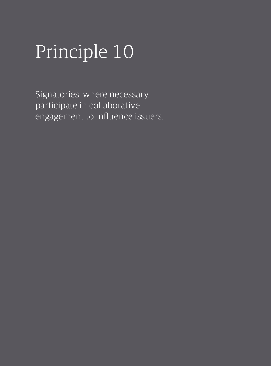Signatories, where necessary, participate in collaborative engagement to influence issuers.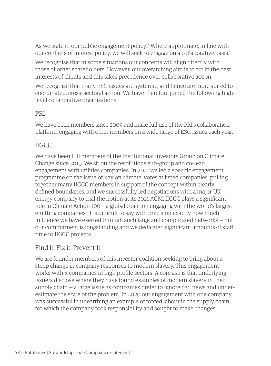As we state in our public engagement policy:" Where appropriate, in line with our conflicts of interest policy, we will seek to engage on a collaborative basis."

We recognise that in some situations our concerns will align directly with those of other shareholders. However, our overarching aim is to act in the best interests of clients and this takes precedence over collaborative action.

We recognise that many ESG issues are systemic, and hence are more suited to coordinated, cross–sectoral action. We have therefore joined the following high– level collaborative organisations:

#### PRI

We have been members since 2009 and make full use of the PRI's collaboration platform, engaging with other members on a wide range of ESG issues each year.

# IIGCC

We have been full members of the Institutional Investors Group on Climate Change since 2019. We sit on the resolutions sub–group and co–lead engagement with utilities companies. In 2021 we led a specific engagement programme on the issue of 'say on climate' votes at listed companies, pulling together many IIGCC members in support of the concept within clearly defined boundaries, and we successfully led negotiations with a major UK energy company to trial the notion at its 2021 AGM. IIGCC plays a significant role in Climate Action 100+, a global coalition engaging with the world's largest emitting companies. It is difficult to say with precision exactly how much influence we have exerted through such large and complicated networks — but our commitment is longstanding and we dedicated significant amounts of staff time to IIGCC projects.

### Find it, Fix it, Prevent It

We are founder members of this investor coalition seeking to bring about a steep change in company responses to modern slavery. This engagement works with x companies in high profile sectors. A core ask is that underlying issuers disclose where they have found examples of modern slavery in their supply chain — a large issue as companies prefer to ignore bad news and under– estimate the scale of the problem. In 2020 our engagement with one company was successful in unearthing an example of forced labour in the supply chain, for which the company took responsibility and sought to make changes.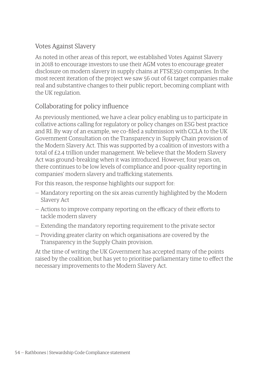# Votes Against Slavery

As noted in other areas of this report, we established Votes Against Slavery in 2018 to encourage investors to use their AGM votes to encourage greater disclosure on modern slavery in supply chains at FTSE350 companies. In the most recent iteration of the project we saw 56 out of 61 target companies make real and substantive changes to their public report, becoming compliant with the UK regulation.

# Collaborating for policy influence

As previously mentioned, we have a clear policy enabling us to participate in collative actions calling for regulatory or policy changes on ESG best practice and RI. By way of an example, we co–filed a submission with CCLA to the UK Government Consultation on the Transparency in Supply Chain provision of the Modern Slavery Act. This was supported by a coalition of investors with a total of £2.4 trillion under management. We believe that the Modern Slavery Act was ground–breaking when it was introduced. However, four years on, there continues to be low levels of compliance and poor–quality reporting in companies' modern slavery and trafficking statements.

For this reason, the response highlights our support for:

- Mandatory reporting on the six areas currently highlighted by the Modern Slavery Act
- Actions to improve company reporting on the efficacy of their efforts to tackle modern slavery
- Extending the mandatory reporting requirement to the private sector
- Providing greater clarity on which organisations are covered by the Transparency in the Supply Chain provision.

At the time of writing the UK Government has accepted many of the points raised by the coalition, but has yet to prioritise parliamentary time to effect the necessary improvements to the Modern Slavery Act.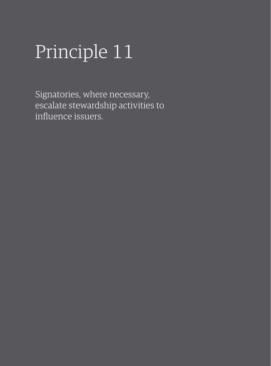Signatories, where necessary, escalate stewardship activities to influence issuers.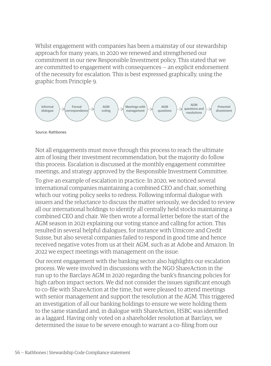Whilst engagement with companies has been a mainstay of our stewardship approach for many years, in 2020 we renewed and strengthened our commitment in our new Responsible Investment policy. This stated that we are committed to engagement with consequences — an explicit endorsement of the necessity for escalation. This is best expressed graphically, using the graphic from Principle 9.



Source: Rathbones

Not all engagements must move through this process to reach the ultimate aim of losing their investment recommendation, but the majority do follow this process. Escalation is discussed at the monthly engagement committee meetings, and strategy approved by the Responsible Investment Committee.

To give an example of escalation in practice: In 2020, we noticed several international companies maintaining a combined CEO and chair, something which our voting policy seeks to redress. Following informal dialogue with issuers and the reluctance to discuss the matter seriously, we decided to review all our international holdings to identify all centrally held stocks maintaining a combined CEO and chair. We then wrote a formal letter before the start of the AGM season in 2021 explaining our voting stance and calling for action. This resulted in several helpful dialogues, for instance with Umicore and Credit Suisse, but also several companies failed to respond in good time and hence received negative votes from us at their AGM, such as at Adobe and Amazon. In 2022 we expect meetings with management on the issue.

Our recent engagement with the banking sector also highlights our escalation process. We were involved in discussions with the NGO ShareAction in the run up to the Barclays AGM in 2020 regarding the bank's financing policies for high carbon impact sectors. We did not consider the issues significant enough to co–file with ShareAction at the time, but were pleased to attend meetings with senior management and support the resolution at the AGM. This triggered an investigation of all our banking holdings to ensure we were holding them to the same standard and, in dialogue with ShareAction, HSBC was identified as a laggard. Having only voted on a shareholder resolution at Barclays, we determined the issue to be severe enough to warrant a co–filing from our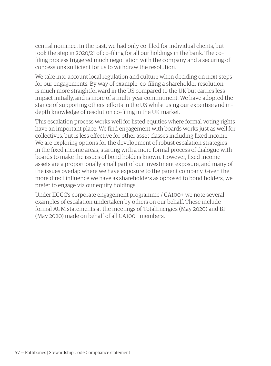central nominee. In the past, we had only co–filed for individual clients, but took the step in 2020/21 of co–filing for all our holdings in the bank. The co– filing process triggered much negotiation with the company and a securing of concessions sufficient for us to withdraw the resolution.

We take into account local regulation and culture when deciding on next steps for our engagements. By way of example, co–filing a shareholder resolution is much more straightforward in the US compared to the UK but carries less impact initially, and is more of a multi–year commitment. We have adopted the stance of supporting others' efforts in the US whilst using our expertise and in– depth knowledge of resolution co–filing in the UK market.

This escalation process works well for listed equities where formal voting rights have an important place. We find engagement with boards works just as well for collectives, but is less effective for other asset classes including fixed income. We are exploring options for the development of robust escalation strategies in the fixed income areas, starting with a more formal process of dialogue with boards to make the issues of bond holders known. However, fixed income assets are a proportionally small part of our investment exposure, and many of the issues overlap where we have exposure to the parent company. Given the more direct influence we have as shareholders as opposed to bond holders, we prefer to engage via our equity holdings.

Under IIGCC's corporate engagement programme / CA100+ we note several examples of escalation undertaken by others on our behalf. These include formal AGM statements at the meetings of TotalEnergies (May 2020) and BP (May 2020) made on behalf of all CA100+ members.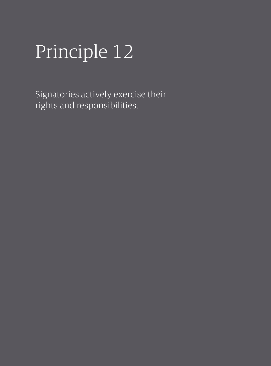Signatories actively exercise their rights and responsibilities.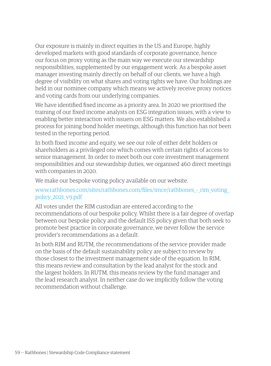Our exposure is mainly in direct equities in the US and Europe, highly developed markets with good standards of corporate governance, hence our focus on proxy voting as the main way we execute our stewardship responsibilities, supplemented by our engagement work. As a bespoke asset manager investing mainly directly on behalf of our clients, we have a high degree of visibility on what shares and voting rights we have. Our holdings are held in our nominee company which means we actively receive proxy notices and voting cards from our underlying companies.

We have identified fixed income as a priority area. In 2020 we prioritised the training of our fixed income analysts on ESG integration issues, with a view to enabling better interaction with issuers on ESG matters. We also established a process for joining bond holder meetings, although this function has not been tested in the reporting period.

In both fixed income and equity, we see our role of either debt holders or shareholders as a privileged one which comes with certain rights of access to senior management. In order to meet both our core investment management responsibilities and our stewardship duties, we organised 460 direct meetings with companies in 2020.

We make our bespoke voting policy available on our website.

#### [www.rathbones.com/sites/rathbones.com/files/imce/rathbones\\_–\\_rim\\_voting\\_](http://www.rathbones.com/sites/rathbones.com/files/imce/rathbones_-_rim_voting_policy_2021_v9.pdf
) [policy\\_2021\\_v9.pdf](http://www.rathbones.com/sites/rathbones.com/files/imce/rathbones_-_rim_voting_policy_2021_v9.pdf
)

All votes under the RIM custodian are entered according to the recommendations of our bespoke policy. Whilst there is a fair degree of overlap between our bespoke policy and the default ISS policy given that both seek to promote best practice in corporate governance, we never follow the service provider's recommendations as a default.

In both RIM and RUTM, the recommendations of the service provider made on the basis of the default sustainability policy are subject to review by those closest to the investment management side of the equation. In RIM, this means review and consultation by the lead analyst for the stock and the largest holders. In RUTM, this means review by the fund manager and the lead research analyst. In neither case do we implicitly follow the voting recommendation without challenge.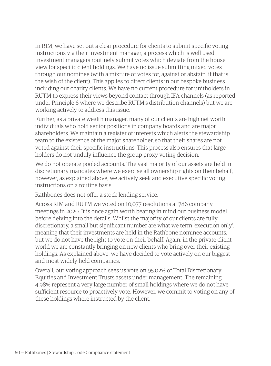In RIM, we have set out a clear procedure for clients to submit specific voting instructions via their investment manager, a process which is well used. Investment managers routinely submit votes which deviate from the house view for specific client holdings. We have no issue submitting mixed votes through our nominee (with a mixture of votes for, against or abstain, if that is the wish of the client). This applies to direct clients in our bespoke business including our charity clients. We have no current procedure for unitholders in RUTM to express their views beyond contact through IFA channels (as reported under Principle 6 where we describe RUTM's distribution channels) but we are working actively to address this issue.

Further, as a private wealth manager, many of our clients are high net worth individuals who hold senior positions in company boards and are major shareholders. We maintain a register of interests which alerts the stewardship team to the existence of the major shareholder, so that their shares are not voted against their specific instructions. This process also ensures that large holders do not unduly influence the group proxy voting decision.

We do not operate pooled accounts. The vast majority of our assets are held in discretionary mandates where we exercise all ownership rights on their behalf; however, as explained above, we actively seek and executive specific voting instructions on a routine basis.

Rathbones does not offer a stock lending service.

Across RIM and RUTM we voted on 10,077 resolutions at 786 company meetings in 2020. It is once again worth bearing in mind our business model before delving into the details. Whilst the majority of our clients are fully discretionary, a small but significant number are what we term 'execution only', meaning that their investments are held in the Rathbone nominee accounts, but we do not have the right to vote on their behalf. Again, in the private client world we are constantly bringing on new clients who bring over their existing holdings. As explained above, we have decided to vote actively on our biggest and most widely held companies.

Overall, our voting approach sees us vote on 95.02% of Total Discretionary Equities and Investment Trusts assets under management. The remaining 4.98% represent a very large number of small holdings where we do not have sufficient resource to proactively vote. However, we commit to voting on any of these holdings where instructed by the client.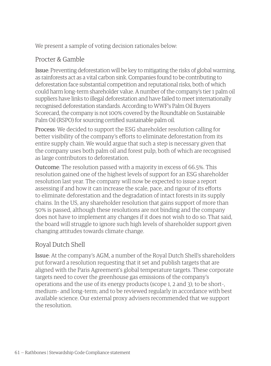We present a sample of voting decision rationales below:

# Procter & Gamble

Issue: Preventing deforestation will be key to mitigating the risks of global warming, as rainforests act as a vital carbon sink. Companies found to be contributing to deforestation face substantial competition and reputational risks, both of which could harm long–term shareholder value. A number of the company's tier 1 palm oil suppliers have links to illegal deforestation and have failed to meet internationally recognised deforestation standards. According to WWF's Palm Oil Buyers Scorecard, the company is not 100% covered by the Roundtable on Sustainable Palm Oil (RSPO) for sourcing certified sustainable palm oil.

Process: We decided to support the ESG shareholder resolution calling for better visibility of the company's efforts to eliminate deforestation from its entire supply chain. We would argue that such a step is necessary given that the company uses both palm oil and forest pulp, both of which are recognised as large contributors to deforestation.

Outcome: The resolution passed with a majority in excess of 66.5%. This resolution gained one of the highest levels of support for an ESG shareholder resolution last year. The company will now be expected to issue a report assessing if and how it can increase the scale, pace, and rigour of its efforts to eliminate deforestation and the degradation of intact forests in its supply chains. In the US, any shareholder resolution that gains support of more than 50% is passed, although these resolutions are not binding and the company does not have to implement any changes if it does not wish to do so. That said, the board will struggle to ignore such high levels of shareholder support given changing attitudes towards climate change.

# Royal Dutch Shell

Issue: At the company's AGM, a number of the Royal Dutch Shell's shareholders put forward a resolution requesting that it set and publish targets that are aligned with the Paris Agreement's global temperature targets. These corporate targets need to cover the greenhouse gas emissions of the company's operations and the use of its energy products (scope 1, 2 and 3); to be short–, medium– and long–term; and to be reviewed regularly in accordance with best available science. Our external proxy advisers recommended that we support the resolution.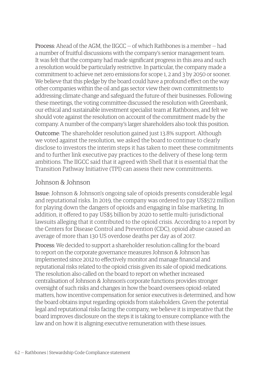**Process:** Ahead of the AGM, the IIGCC  $-$  of which Rathbones is a member  $-$  had a number of fruitful discussions with the company's senior management team. It was felt that the company had made significant progress in this area and such a resolution would be particularly restrictive. In particular, the company made a commitment to achieve net zero emissions for scope 1, 2 and 3 by 2050 or sooner. We believe that this pledge by the board could have a profound effect on the way other companies within the oil and gas sector view their own commitments to addressing climate change and safeguard the future of their businesses. Following these meetings, the voting committee discussed the resolution with Greenbank, our ethical and sustainable investment specialist team at Rathbones, and felt we should vote against the resolution on account of the commitment made by the company. A number of the company's larger shareholders also took this position.

Outcome: The shareholder resolution gained just 13.8% support. Although we voted against the resolution, we asked the board to continue to clearly disclose to investors the interim steps it has taken to meet these commitments and to further link executive pay practices to the delivery of these long–term ambitions. The IIGCC said that it agreed with Shell that it is essential that the Transition Pathway Initiative (TPI) can assess their new commitments.

#### Johnson & Johnson

Issue: Johnson & Johnson's ongoing sale of opioids presents considerable legal and reputational risks. In 2019, the company was ordered to pay US\$572 million for playing down the dangers of opioids and engaging in false marketing. In addition, it offered to pay US\$5 billion by 2020 to settle multi–jurisdictional lawsuits alleging that it contributed to the opioid crisis. According to a report by the Centers for Disease Control and Prevention (CDC), opioid abuse caused an average of more than 130 US overdose deaths per day as of 2017.

Process: We decided to support a shareholder resolution calling for the board to report on the corporate governance measures Johnson & Johnson has implemented since 2012 to effectively monitor and manage financial and reputational risks related to the opioid crisis given its sale of opioid medications. The resolution also called on the board to report on whether increased centralisation of Johnson & Johnson's corporate functions provides stronger oversight of such risks and changes in how the board oversees opioid–related matters, how incentive compensation for senior executives is determined, and how the board obtains input regarding opioids from stakeholders. Given the potential legal and reputational risks facing the company, we believe it is imperative that the board improves disclosure on the steps it is taking to ensure compliance with the law and on how it is aligning executive remuneration with these issues.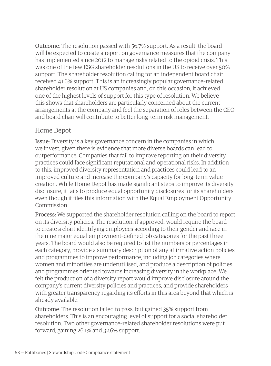Outcome: The resolution passed with 56.7% support. As a result, the board will be expected to create a report on governance measures that the company has implemented since 2012 to manage risks related to the opioid crisis. This was one of the few ESG shareholder resolutions in the US to receive over 50% support. The shareholder resolution calling for an independent board chair received 41.6% support. This is an increasingly popular governance–related shareholder resolution at US companies and, on this occasion, it achieved one of the highest levels of support for this type of resolution. We believe this shows that shareholders are particularly concerned about the current arrangements at the company and feel the separation of roles between the CEO and board chair will contribute to better long–term risk management.

#### Home Depot

Issue: Diversity is a key governance concern in the companies in which we invest, given there is evidence that more diverse boards can lead to outperformance. Companies that fail to improve reporting on their diversity practices could face significant reputational and operational risks. In addition to this, improved diversity representation and practices could lead to an improved culture and increase the company's capacity for long–term value creation. While Home Depot has made significant steps to improve its diversity disclosure, it fails to produce equal opportunity disclosures for its shareholders even though it files this information with the Equal Employment Opportunity Commission.

Process: We supported the shareholder resolution calling on the board to report on its diversity policies. The resolution, if approved, would require the board to create a chart identifying employees according to their gender and race in the nine major equal employment–defined job categories for the past three years. The board would also be required to list the numbers or percentages in each category, provide a summary description of any affirmative action policies and programmes to improve performance, including job categories where women and minorities are underutilised, and produce a description of policies and programmes oriented towards increasing diversity in the workplace. We felt the production of a diversity report would improve disclosure around the company's current diversity policies and practices, and provide shareholders with greater transparency regarding its efforts in this area beyond that which is already available.

Outcome: The resolution failed to pass, but gained 35% support from shareholders. This is an encouraging level of support for a social shareholder resolution. Two other governance–related shareholder resolutions were put forward, gaining 26.1% and 32.6% support.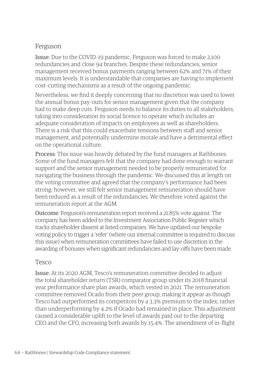### Ferguson

Issue: Due to the COVID–19 pandemic, Ferguson was forced to make 2,100 redundancies and close 94 branches. Despite these redundancies, senior management received bonus payments ranging between 62% and 71% of their maximum levels. It is understandable that companies are having to implement cost–cutting mechanisms as a result of the ongoing pandemic.

Nevertheless, we find it deeply concerning that no discretion was used to lower the annual bonus pay–outs for senior management given that the company had to make deep cuts. Ferguson needs to balance its duties to all stakeholders, taking into consideration its social licence to operate which includes an adequate consideration of impacts on employees as well as shareholders. There is a risk that this could exacerbate tensions between staff and senior management, and potentially undermine morale and have a detrimental effect on the operational culture.

Process: This issue was heavily debated by the fund managers at Rathbones. Some of the fund managers felt that the company had done enough to warrant support and the senior management needed to be properly remunerated for navigating the business through the pandemic. We discussed this at length on the voting committee and agreed that the company's performance had been strong; however, we still felt senior management remuneration should have been reduced as a result of the redundancies. We therefore voted against the remuneration report at the AGM.

Outcome: Ferguson's remuneration report received a 21.85% vote against. The company has been added to the Investment Association Public Register which tracks shareholder dissent at listed companies. We have updated our bespoke voting policy to trigger a 'refer' (where our internal committee is required to discuss this issue) when remuneration committees have failed to use discretion in the awarding of bonuses when significant redundancies and lay–offs have been made.

#### Tesco

Issue: At its 2020 AGM, Tesco's remuneration committee decided to adjust the total shareholder return (TSR) comparator group under its 2018 financial year performance share plan awards, which vested in 2021. The remuneration committee removed Ocado from their peer group, making it appear as though Tesco had outperformed its competitors by a 3.3% premium to the index, rather than underperforming by 4.2% if Ocado had remained in place. This adjustment caused a considerable uplift to the level of awards paid out to the departing CEO and the CFO, increasing both awards by 15.4%. The amendment of in–flight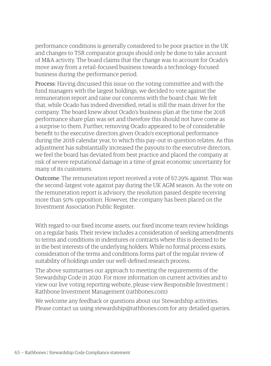performance conditions is generally considered to be poor practice in the UK and changes to TSR comparator groups should only be done to take account of M&A activity. The board claims that the change was to account for Ocado's move away from a retail–focused business towards a technology–focused business during the performance period.

Process: Having discussed this issue on the voting committee and with the fund managers with the largest holdings, we decided to vote against the remuneration report and raise our concerns with the board chair. We felt that, while Ocado has indeed diversified, retail is still the main driver for the company. The board knew about Ocado's business plan at the time the 2018 performance share plan was set and therefore this should not have come as a surprise to them. Further, removing Ocado appeared to be of considerable benefit to the executive directors given Ocado's exceptional performance during the 2018 calendar year, to which this pay–out in question relates. As this adjustment has substantially increased the payouts to the executive directors, we feel the board has deviated from best practice and placed the company at risk of severe reputational damage in a time of great economic uncertainty for many of its customers.

Outcome: The remuneration report received a vote of 67.29% against. This was the second–largest vote against pay during the UK AGM season. As the vote on the remuneration report is advisory, the resolution passed despite receiving more than 50% opposition. However, the company has been placed on the Investment Association Public Register.

With regard to our fixed income assets, our fixed income team review holdings on a regular basis. Their review includes a consideration of seeking amendments to terms and conditions in indentures or contracts where this is deemed to be in the best interests of the underlying holders. While no formal process exists, consideration of the terms and conditions forms part of the regular review of suitability of holdings under our well–defined research process.

The above summarises our approach to meeting the requirements of the Stewardship Code in 2020. For more information on current activities and to view our live voting reporting website, please view Responsible Investment | Rathbone Investment Management (rathbones.com)

We welcome any feedback or questions about our Stewardship activities. Please contact us using stewardship@rathbones.com for any detailed queries.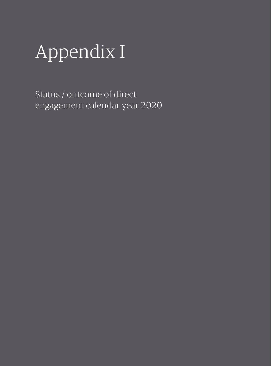# Appendix I

Status / outcome of direct engagement calendar year 2020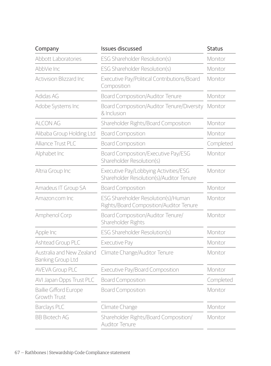| Company                                        | Issues discussed                                                                  | <b>Status</b> |
|------------------------------------------------|-----------------------------------------------------------------------------------|---------------|
| <b>Abbott Laboratories</b>                     | ESG Shareholder Resolution(s)                                                     | Monitor       |
| AbbVie Inc                                     | ESG Shareholder Resolution(s)                                                     | Monitor       |
| <b>Activision Blizzard Inc</b>                 | Executive Pay/Political Contributions/Board<br>Composition                        | Monitor       |
| Adidas AG                                      | Board Composition/Auditor Tenure                                                  | Monitor       |
| Adobe Systems Inc                              | Board Composition/Auditor Tenure/Diversity<br>& Inclusion                         | Monitor       |
| <b>ALCON AG</b>                                | Shareholder Rights/Board Composition                                              | Monitor       |
| Alibaba Group Holding Ltd                      | <b>Board Composition</b>                                                          | Monitor       |
| Alliance Trust PLC                             | <b>Board Composition</b>                                                          | Completed     |
| Alphabet Inc                                   | Board Composition/Executive Pay/ESG<br>Shareholder Resolution(s)                  | Monitor       |
| Altria Group Inc                               | Executive Pay/Lobbying Activities/ESG<br>Shareholder Resolution(s)/Auditor Tenure | Monitor       |
| Amadeus IT Group SA                            | <b>Board Composition</b>                                                          | Monitor       |
| Amazon.com Inc                                 | ESG Shareholder Resolution(s)/Human<br>Rights/Board Composition/Auditor Tenure    | Monitor       |
| Amphenol Corp                                  | Board Composition/Auditor Tenure/<br>Shareholder Rights                           | Monitor       |
| Apple Inc                                      | ESG Shareholder Resolution(s)                                                     | Monitor       |
| Ashtead Group PLC                              | Executive Pay                                                                     | Monitor       |
| Australia and New Zealand<br>Banking Group Ltd | Climate Change/Auditor Tenure                                                     | Monitor       |
| AVEVA Group PLC                                | Executive Pay/Board Composition                                                   | Monitor       |
| AVI Japan Opps Trust PLC                       | <b>Board Composition</b>                                                          | Completed     |
| <b>Baillie Gifford Europe</b><br>Growth Trust  | <b>Board Composition</b>                                                          | Monitor       |
| Barclays PLC                                   | Climate Change                                                                    | Monitor       |
| <b>BB Biotech AG</b>                           | Shareholder Rights/Board Composition/<br><b>Auditor Tenure</b>                    | Monitor       |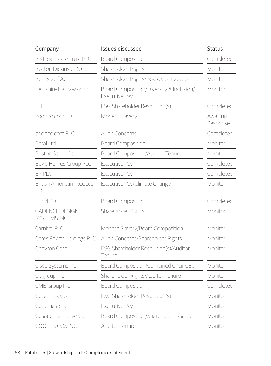| Company                                | <b>Issues discussed</b>                                          | <b>Status</b>        |
|----------------------------------------|------------------------------------------------------------------|----------------------|
| <b>BB Healthcare Trust PLC</b>         | <b>Board Composition</b>                                         | Completed            |
| Becton Dickinson & Co                  | Shareholder Rights                                               | Monitor              |
| Beiersdorf AG                          | Shareholder Rights/Board Composition                             | Monitor              |
| Berkshire Hathaway Inc                 | Board Composition/Diversity & Inclusion/<br><b>Executive Pay</b> | Monitor              |
| <b>BHP</b>                             | ESG Shareholder Resolution(s)                                    | Completed            |
| boohoo.com PLC                         | Modern Slavery                                                   | Awaiting<br>Response |
| boohoo.com PLC                         | Audit Concerns                                                   | Completed            |
| <b>Boral Ltd</b>                       | <b>Board Composition</b>                                         | Monitor              |
| <b>Boston Scientific</b>               | Board Composition/Auditor Tenure                                 | Monitor              |
| <b>Bovis Homes Group PLC</b>           | Executive Pay                                                    | Completed            |
| <b>BP PLC</b>                          | Executive Pay                                                    | Completed            |
| <b>British American Tobacco</b><br>PLC | Executive Pay/Climate Change                                     | Monitor              |
| Bunzl PLC                              | <b>Board Composition</b>                                         | Completed            |
| CADENCE DESIGN<br><b>SYSTEMS INC</b>   | Shareholder Rights                                               | Monitor              |
| Carnival PLC                           | Modern Slavery/Board Composition                                 | Monitor              |
| Ceres Power Holdings PLC               | Audit Concerns/Shareholder Rights                                | Monitor              |
| Chevron Corp                           | ESG Shareholder Resolution(s)/Auditor<br>Tenure                  | Monitor              |
| Cisco Systems Inc                      | Board Composition/Combined Chair CEO                             | Monitor              |
| Citigroup Inc                          | Shareholder Rights/Auditor Tenure                                | Monitor              |
| CME Group Inc                          | <b>Board Composition</b>                                         | Completed            |
| Coca-Cola Co                           | ESG Shareholder Resolution(s)                                    | Monitor              |
| Codemasters                            | Executive Pay                                                    | Monitor              |
| Colgate-Palmolive Co                   | Board Composition/Shareholder Rights                             | Monitor              |
| COOPER COS INC                         | <b>Auditor Tenure</b>                                            | Monitor              |
|                                        |                                                                  |                      |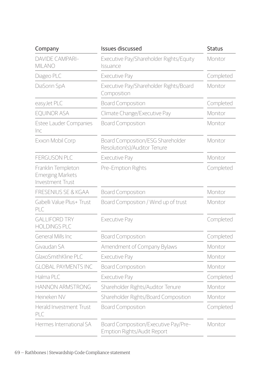| Company                                                           | <b>Issues discussed</b>                                             | <b>Status</b> |
|-------------------------------------------------------------------|---------------------------------------------------------------------|---------------|
| <b>DAVIDE CAMPARI-</b><br><b>MILANO</b>                           | Executive Pay/Shareholder Rights/Equity<br>Issuance                 | Monitor       |
| Diageo PLC                                                        | Executive Pay                                                       | Completed     |
| DiaSorin SpA                                                      | Executive Pay/Shareholder Rights/Board<br>Composition               | Monitor       |
| easyJet PLC                                                       | <b>Board Composition</b>                                            | Completed     |
| <b>EOUINOR ASA</b>                                                | Climate Change/Executive Pay                                        | Monitor       |
| Estee Lauder Companies<br>Inc                                     | <b>Board Composition</b>                                            | Monitor       |
| Exxon Mobil Corp                                                  | Board Composition/ESG Shareholder<br>Resolution(s)/Auditor Tenure   | Monitor       |
| <b>FERGUSON PLC</b>                                               | Executive Pay                                                       | Monitor       |
| Franklin Templeton<br><b>Emerging Markets</b><br>Investment Trust | Pre-Emption Rights                                                  | Completed     |
| <b>FRESENIUS SE &amp; KGAA</b>                                    | <b>Board Composition</b>                                            | Monitor       |
| Gabelli Value Plus+ Trust<br>PLC                                  | Board Composition / Wind up of trust                                | Monitor       |
| <b>GALLIFORD TRY</b><br><b>HOLDINGS PLC</b>                       | Executive Pay                                                       | Completed     |
| General Mills Inc                                                 | <b>Board Composition</b>                                            | Completed     |
| Givaudan SA                                                       | Amendment of Company Bylaws                                         | Monitor       |
| GlaxoSmithKline PLC                                               | Executive Pay                                                       | Monitor       |
| <b>GLOBAL PAYMENTS INC</b>                                        | <b>Board Composition</b>                                            | Monitor       |
| Halma PLC                                                         | Executive Pay                                                       | Completed     |
| <b>HANNON ARMSTRONG</b>                                           | Shareholder Rights/Auditor Tenure                                   | Monitor       |
| Heineken NV                                                       | Shareholder Rights/Board Composition                                | Monitor       |
| Herald Investment Trust<br>PLC.                                   | <b>Board Composition</b>                                            | Completed     |
| Hermes International SA                                           | Board Composition/Executive Pay/Pre-<br>Emption Rights/Audit Report | Monitor       |
|                                                                   |                                                                     |               |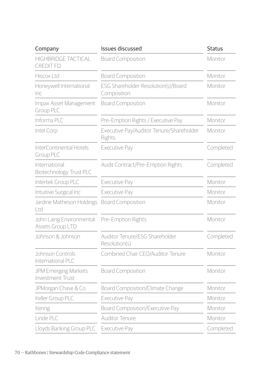| Company                                        | Issues discussed                                   | <b>Status</b> |
|------------------------------------------------|----------------------------------------------------|---------------|
| <b>HIGHBRIDGE TACTICAL</b><br><b>CREDIT FD</b> | <b>Board Composition</b>                           | Monitor       |
| Hiscox Ltd                                     | <b>Board Composition</b>                           | Monitor       |
| Honeywell International<br>Inc                 | ESG Shareholder Resolution(s)/Board<br>Composition | Monitor       |
| Impax Asset Management<br>Group PLC            | <b>Board Composition</b>                           | Monitor       |
| Informa PLC                                    | Pre-Emption Rights / Executive Pay                 | Monitor       |
| Intel Corp                                     | Executive Pay/Auditor Tenure/Shareholder<br>Rights | Monitor       |
| InterContinental Hotels<br>Group PLC           | Executive Pay                                      | Completed     |
| International<br>Biotechnology Trust PLC       | Audit Contract/Pre-Emption Rights                  | Completed     |
| Intertek Group PLC                             | Executive Pay                                      | Monitor       |
| Intuitive Surgical Inc                         | Executive Pay                                      | Monitor       |
| Jardine Matheson Holdings<br>l td              | <b>Board Composition</b>                           | Monitor       |
| John Laing Environmental<br>Assets Group LTD   | Pre-Emption Rights                                 | Monitor       |
| Johnson & Johnson                              | Auditor Tenure/ESG Shareholder<br>Resolution(s)    | Completed     |
| Johnson Controls<br>International PLC          | Combined Chair CEO/Auditor Tenure                  | Monitor       |
| JPM Emerging Markets<br>Investment Trust       | <b>Board Composition</b>                           | Monitor       |
| JPMorgan Chase & Co                            | Board Composition/Climate Change                   | Monitor       |
| Keller Group PLC                               | Executive Pay                                      | Monitor       |
| Kering                                         | Board Composition/Executive Pay                    | Monitor       |
| Linde PLC                                      | <b>Auditor Tenure</b>                              | Monitor       |
| Lloyds Banking Group PLC                       | Executive Pay                                      | Completed     |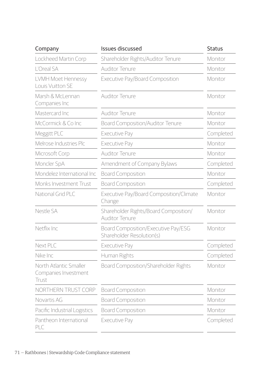| Company                                                 | <b>Issues discussed</b>                                          | <b>Status</b> |
|---------------------------------------------------------|------------------------------------------------------------------|---------------|
| Lockheed Martin Corp                                    | Shareholder Rights/Auditor Tenure                                | Monitor       |
| I 'Oreal SA                                             | Auditor Tenure                                                   | Monitor       |
| LVMH Moet Hennessy<br>Louis Vuitton SF                  | Executive Pay/Board Composition                                  | Monitor       |
| Marsh & McLennan<br>Companies Inc                       | Auditor Tenure                                                   | Monitor       |
| Mastercard Inc                                          | <b>Auditor Tenure</b>                                            | Monitor       |
| McCormick & Co Inc                                      | Board Composition/Auditor Tenure                                 | Monitor       |
| Meggitt PLC                                             | Executive Pay                                                    | Completed     |
| Melrose Industries Plc                                  | Executive Pay                                                    | Monitor       |
| Microsoft Corp                                          | Auditor Tenure                                                   | Monitor       |
| Moncler SpA                                             | Amendment of Company Bylaws                                      | Completed     |
| Mondelez International Inc                              | <b>Board Composition</b>                                         | Monitor       |
| Monks Investment Trust                                  | <b>Board Composition</b>                                         | Completed     |
| National Grid PLC                                       | Executive Pay/Board Composition/Climate<br>Change                | Monitor       |
| Nestle SA                                               | Shareholder Rights/Board Composition/<br><b>Auditor Tenure</b>   | Monitor       |
| Netflix Inc.                                            | Board Composition/Executive Pay/ESG<br>Shareholder Resolution(s) | Monitor       |
| Next PLC                                                | Executive Pay                                                    | Completed     |
| Nike Inc                                                | Human Rights                                                     | Completed     |
| North Atlantic Smaller<br>Companies Investment<br>Trust | Board Composition/Shareholder Rights                             | Monitor       |
| NORTHERN TRUST CORP                                     | <b>Board Composition</b>                                         | Monitor       |
| Novartis AG                                             | <b>Board Composition</b>                                         | Monitor       |
| Pacific Industrial Logistics                            | <b>Board Composition</b>                                         | Monitor       |
| Pantheon International<br>PLC                           | Executive Pay                                                    | Completed     |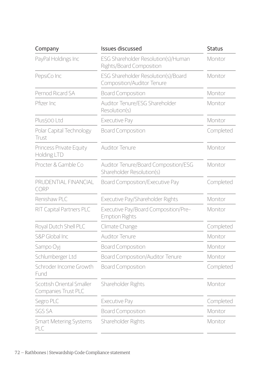| Company                                          | Issues discussed                                                  | <b>Status</b> |
|--------------------------------------------------|-------------------------------------------------------------------|---------------|
| PayPal Holdings Inc                              | ESG Shareholder Resolution(s)/Human<br>Rights/Board Composition   | Monitor       |
| PepsiCo Inc                                      | ESG Shareholder Resolution(s)/Board<br>Composition/Auditor Tenure | Monitor       |
| Pernod Ricard SA                                 | <b>Board Composition</b>                                          | Monitor       |
| Pfizer Inc                                       | Auditor Tenure/ESG Shareholder<br>Resolution(s)                   | Monitor       |
| Plus500 Ltd                                      | Executive Pay                                                     | Monitor       |
| Polar Capital Technology<br>Trust                | <b>Board Composition</b>                                          | Completed     |
| Princess Private Equity<br>Holding LTD           | Auditor Tenure                                                    | Monitor       |
| Procter & Gamble Co                              | Auditor Tenure/Board Composition/ESG<br>Shareholder Resolution(s) | Monitor       |
| PRUDENTIAL FINANCIAL<br>CORP                     | Board Composition/Executive Pay                                   | Completed     |
| Renishaw PLC                                     | Executive Pay/Shareholder Rights                                  | Monitor       |
| RIT Capital Partners PLC                         | Executive Pay/Board Composition/Pre-<br><b>Emption Rights</b>     | Monitor       |
| Royal Dutch Shell PLC                            | Climate Change                                                    | Completed     |
| S&P Global Inc.                                  | Auditor Tenure                                                    | Monitor       |
| Sampo Oyj                                        | <b>Board Composition</b>                                          | Monitor       |
| Schlumberger Ltd                                 | Board Composition/Auditor Tenure                                  | Monitor       |
| Schroder Income Growth<br>Fund                   | <b>Board Composition</b>                                          | Completed     |
| Scottish Oriental Smaller<br>Companies Trust PLC | Shareholder Rights                                                | Monitor       |
| Segro PLC                                        | Executive Pay                                                     | Completed     |
| <b>SGS SA</b>                                    | <b>Board Composition</b>                                          | Monitor       |
| Smart Metering Systems<br>PLC                    | Shareholder Rights                                                | Monitor       |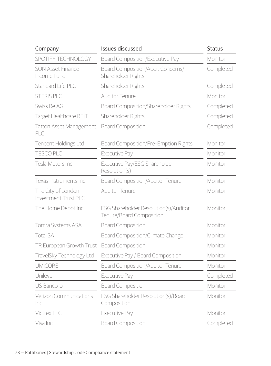| Company                                           | Issues discussed                                                  | <b>Status</b> |  |
|---------------------------------------------------|-------------------------------------------------------------------|---------------|--|
| SPOTIFY TECHNOLOGY                                | Board Composition/Executive Pay                                   | Monitor       |  |
| <b>SON Asset Finance</b><br>Income Fund           | Board Composition/Audit Concerns/<br>Shareholder Rights           | Completed     |  |
| Standard Life PLC                                 | Shareholder Rights                                                | Completed     |  |
| <b>STERIS PLC</b>                                 | <b>Auditor Tenure</b>                                             | Monitor       |  |
| Swiss Re AG                                       | Board Composition/Shareholder Rights                              | Completed     |  |
| Target Healthcare REIT                            | Shareholder Rights                                                | Completed     |  |
| Tatton Asset Management<br>PLC                    | <b>Board Composition</b>                                          | Completed     |  |
| Tencent Holdings Ltd                              | Board Composition/Pre-Emption Rights                              | Monitor       |  |
| <b>TESCO PLC</b>                                  | Executive Pay                                                     | Monitor       |  |
| Tesla Motors Inc                                  | Executive Pay/ESG Shareholder<br>Resolution(s)                    |               |  |
| Texas Instruments Inc                             | Board Composition/Auditor Tenure                                  | Monitor       |  |
| The City of London<br><b>Investment Trust PLC</b> | Auditor Tenure                                                    | Monitor       |  |
| The Home Depot Inc                                | ESG Shareholder Resolution(s)/Auditor<br>Tenure/Board Composition |               |  |
| Tomra Systems ASA                                 | <b>Board Composition</b>                                          | Monitor       |  |
| <b>Total SA</b>                                   | Board Composition/Climate Change                                  | Monitor       |  |
| TR European Growth Trust                          | <b>Board Composition</b>                                          | Monitor       |  |
| TravelSky Technology Ltd                          | Executive Pay / Board Composition                                 | Monitor       |  |
| <b>UMICORE</b>                                    | Board Composition/Auditor Tenure                                  | Monitor       |  |
| Unilever                                          | Executive Pay                                                     | Completed     |  |
| US Bancorp                                        | <b>Board Composition</b>                                          | Monitor       |  |
| Verizon Communications<br>Inc                     | ESG Shareholder Resolution(s)/Board<br>Composition                | Monitor       |  |
| <b>Victrex PLC</b>                                | Executive Pay                                                     | Monitor       |  |
| Visa Inc                                          | <b>Board Composition</b>                                          | Completed     |  |
|                                                   |                                                                   |               |  |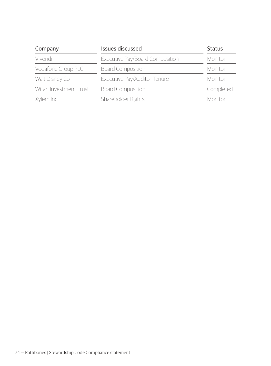| Issues discussed<br>Company<br>Executive Pay/Board Composition<br>Vivendi |                              | <b>Status</b><br>Monitor |  |
|---------------------------------------------------------------------------|------------------------------|--------------------------|--|
|                                                                           |                              |                          |  |
| Walt Disney Co                                                            | Executive Pay/Auditor Tenure | Monitor                  |  |
| Witan Investment Trust                                                    | <b>Board Composition</b>     | Completed                |  |
| Xylem Inc                                                                 | Shareholder Rights           | Monitor                  |  |
|                                                                           |                              |                          |  |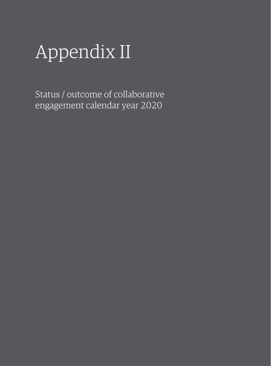### Appendix II

Status / outcome of collaborative engagement calendar year 2020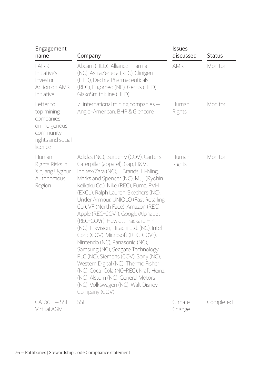| Engagement<br>name                                                                                 | Company                                                                                                                                                                                                                                                                                                                                                                                                                                                                                                                                                                                                                                                                                                                                                                      | <b>Issues</b><br>discussed | <b>Status</b> |
|----------------------------------------------------------------------------------------------------|------------------------------------------------------------------------------------------------------------------------------------------------------------------------------------------------------------------------------------------------------------------------------------------------------------------------------------------------------------------------------------------------------------------------------------------------------------------------------------------------------------------------------------------------------------------------------------------------------------------------------------------------------------------------------------------------------------------------------------------------------------------------------|----------------------------|---------------|
| <b>FAIRR</b><br>Initiative's<br>Investor<br>Action on AMR<br>Initiative                            | Abcam (HLD), Alliance Pharma<br>(NC), AstraZeneca (REC), Clinigen<br>(HLD), Dechra Pharmaceuticals<br>(REC), Ergomed (NC), Genus (HLD),<br>GlaxoSmithKline (HLD),                                                                                                                                                                                                                                                                                                                                                                                                                                                                                                                                                                                                            | <b>AMR</b>                 | Monitor       |
| Letter to<br>top mining<br>companies<br>on indigenous<br>community<br>rights and social<br>licence | 71 international mining companies -<br>Anglo-American, BHP & Glencore                                                                                                                                                                                                                                                                                                                                                                                                                                                                                                                                                                                                                                                                                                        | Human<br>Rights            | Monitor       |
| Human<br>Rights Risks in<br>Xinjiang Uyghur<br>Autonomous<br>Region                                | Adidas (NC), Burberry (COV), Carter's,<br>Caterpillar (apparel), Gap, H&M,<br>Inditex/Zara (NC), L Brands, Li-Ning,<br>Marks and Spencer (NC), Muji (Ryohin<br>Keikaku Co.), Nike (REC), Puma, PVH<br>(EXCL), Ralph Lauren, Skechers (NC),<br>Under Armour, UNIQLO (Fast Retailing<br>Co.), VF (North Face), Amazon (REC),<br>Apple (REC-COVr), Google/Alphabet<br>(REC-COVr), Hewlett-Packard HP<br>(NC), Hikvision, Hitachi Ltd. (NC), Intel<br>Corp (COV), Microsoft (REC-COVr),<br>Nintendo (NC), Panasonic (NC),<br>Samsung (NC), Seagate Technology<br>PLC (NC), Siemens (COV), Sony (NC),<br>Western Digital (NC), Thermo Fisher<br>(NC), Coca-Cola (NC-REC), Kraft Heinz<br>(NC), Alstom (NC), General Motors<br>(NC), Volkswagen (NC), Walt Disney<br>Company (COV) | Human<br>Rights            | Monitor       |
| $CA1OO+ - SSE$<br>Virtual AGM                                                                      | SSE                                                                                                                                                                                                                                                                                                                                                                                                                                                                                                                                                                                                                                                                                                                                                                          | Climate<br>Change          | Completed     |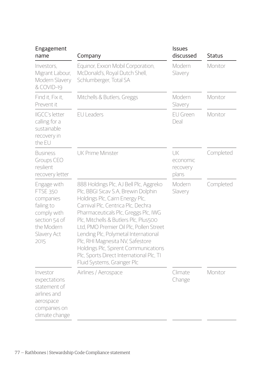| Engagement<br>name                                                                                                             | Company                                                                                                                                                                                                                                                                                                                                                                                                                                                                           | <b>Issues</b><br>discussed          | <b>Status</b> |  |
|--------------------------------------------------------------------------------------------------------------------------------|-----------------------------------------------------------------------------------------------------------------------------------------------------------------------------------------------------------------------------------------------------------------------------------------------------------------------------------------------------------------------------------------------------------------------------------------------------------------------------------|-------------------------------------|---------------|--|
| Investors.<br>Migrant Labour,<br>Modern Slavery<br>& COVID-19                                                                  | Equinor, Exxon Mobil Corporation,<br>McDonald's, Royal Dutch Shell,<br>Schlumberger, Total SA                                                                                                                                                                                                                                                                                                                                                                                     | Modern<br>Slavery                   | Monitor       |  |
| Find it, Fix it,<br>Prevent it                                                                                                 | Mitchells & Butlers, Greggs                                                                                                                                                                                                                                                                                                                                                                                                                                                       | Modern<br>Slavery                   | Monitor       |  |
| <b>IIGCC's letter</b><br>calling for a<br>sustainable<br>recovery in<br>the EU                                                 | <b>EU Leaders</b>                                                                                                                                                                                                                                                                                                                                                                                                                                                                 | <b>EU Green</b><br>Deal             | Monitor       |  |
| <b>Business</b><br>Groups CEO<br>resilient<br>recovery letter                                                                  | UK Prime Minister                                                                                                                                                                                                                                                                                                                                                                                                                                                                 | UK<br>economic<br>recovery<br>plans | Completed     |  |
| Engage with<br><b>FTSE 350</b><br>companies<br>failing to<br>comply with<br>section 54 of<br>the Modern<br>Slavery Act<br>2015 | 888 Holdings Plc, AJ Bell Plc, Aggreko<br>Plc, BBGI Sicav S.A, Brewin Dolphin<br>Holdings Plc, Cairn Energy Plc,<br>Carnival Plc, Centrica Plc, Dechra<br>Pharmaceuticals Plc, Greggs Plc, IWG<br>Plc, Mitchells & Butlers Plc, Plus500<br>Ltd, PMO Premier Oil Plc, Pollen Street<br>Lending Plc, Polymetal International<br>Plc, RHI Magnesita NV, Safestore<br>Holdings Plc, Spirent Communications<br>Plc, Sports Direct International Plc, TI<br>Fluid Systems, Grainger Plc | Modern<br>Slavery                   | Completed     |  |
| Investor<br>expectations<br>statement of<br>airlines and<br>aerospace<br>companies on<br>climate change                        | Airlines / Aerospace                                                                                                                                                                                                                                                                                                                                                                                                                                                              | Climate<br>Change                   | Monitor       |  |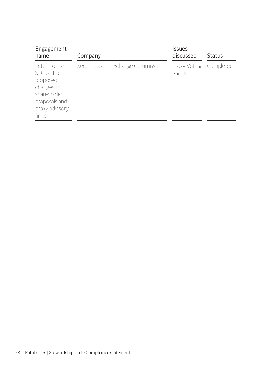| Engagement<br>name                                                                                               | Company                            | Issues<br>discussed              | Status |
|------------------------------------------------------------------------------------------------------------------|------------------------------------|----------------------------------|--------|
| Letter to the<br>SEC on the<br>proposed<br>changes to<br>shareholder<br>proposals and<br>proxy advisory<br>firms | Securities and Exchange Commission | Proxy Voting Completed<br>Rights |        |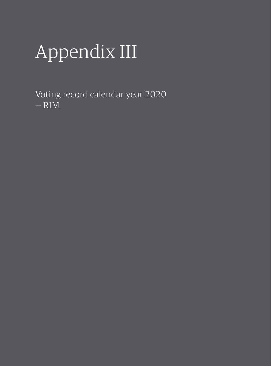# Appendix III

Voting record calendar year 2020 — RIM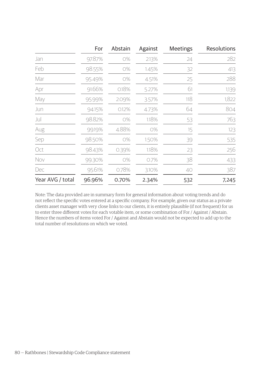|                  | For    | Abstain | Against | <b>Meetings</b> | <b>Resolutions</b> |
|------------------|--------|---------|---------|-----------------|--------------------|
| Jan              | 97.87% | 0%      | 2.13%   | 24              | 282                |
| Feb              | 98.55% | 0%      | 1.45%   | 32              | 413                |
| Mar              | 95.49% | 0%      | 4.51%   | 25              | 288                |
| Apr              | 91.66% | 0.18%   | 5.27%   | 61              | 1,139              |
| May              | 95.99% | 2.09%   | 3.57%   | 118             | 1,822              |
| Jun              | 94.15% | 0.12%   | 4.73%   | 64              | 804                |
| Jul              | 98.82% | 0%      | 1.18%   | 53              | 763                |
| Aug              | 99.19% | 4.88%   | 0%      | 15              | 123                |
| Sep              | 98.50% | 0%      | 1.50%   | 39              | 535                |
| Oct              | 98.43% | 0.39%   | 1.18%   | 23              | 256                |
| Nov              | 99.30% | 0%      | 0.7%    | 38              | 433                |
| Dec              | 95.61% | 0.78%   | 3.10%   | 40              | 387                |
| Year AVG / total | 96.96% | 0.70%   | 2.34%   | 532             | 7,245              |

Note: The data provided are in summary form for general information about voting trends and do not reflect the specific votes entered at a specific company. For example, given our status as a private clients asset manager with very close links to our clients, it is entirely plausible (if not frequent) for us to enter three different votes for each votable item, or some combination of For / Against / Abstain. Hence the numbers of items voted For / Against and Abstain would not be expected to add up to the total number of resolutions on which we voted.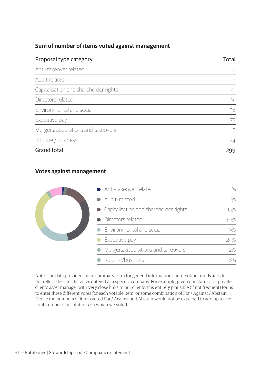### **Sum of number of items voted against management**

| Proposal type category                | Total |
|---------------------------------------|-------|
| Anti-takeover related                 | 2     |
| Audit related                         |       |
| Capitalisation and shareholder rights | 41    |
| Directors related                     | 91    |
| Environmental and social              | 56    |
| Executive pay                         | 73    |
| Mergers, acquisitions and takeovers   | 5     |
| Routine / business                    | 24    |
| Grand total                           | 299   |

### **Votes against management**



Note: The data provided are in summary form for general information about voting trends and do not reflect the specific votes entered at a specific company. For example, given our status as a private clients asset manager with very close links to our clients, it is entirely plausible (if not frequent) for us to enter three different votes for each votable item, or some combination of For / Against / Abstain. Hence the numbers of items voted For / Against and Abstain would not be expected to add up to the total number of resolutions on which we voted.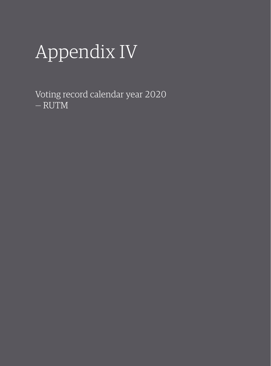# Appendix IV

Voting record calendar year 2020 — RUTM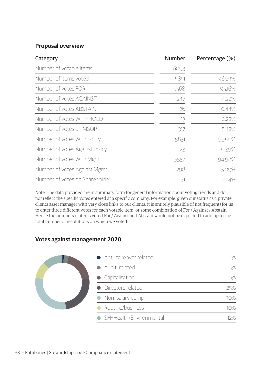#### **Proposal overview**

| Category                       | Number | Percentage (%) |
|--------------------------------|--------|----------------|
| Number of votable items        | 6093   |                |
| Number of items voted          | 5851   | 96.03%         |
| Number of votes FOR            | 5568   | 95.16%         |
| Number of votes AGAINST        | 247    | 4.22%          |
| Number of votes ABSTAIN        | 26     | 0.44%          |
| Number of votes WITHHOLD       | 13     | 0.22%          |
| Number of votes on MSOP        | 317    | 5.42%          |
| Number of votes With Policy    | 5831   | 99.66%         |
| Number of votes Against Policy | 23     | 0.39%          |
| Number of votes With Mgmt      | 5557   | 94.98%         |
| Number of votes Against Mgmt   | 298    | 5.09%          |
| Number of votes on Shareholder | 131    | 2.24%          |

Note: The data provided are in summary form for general information about voting trends and do not reflect the specific votes entered at a specific company. For example, given our status as a private clients asset manager with very close links to our clients, it is entirely plausible (if not frequent) for us to enter three different votes for each votable item, or some combination of For / Against / Abstain. Hence the numbers of items voted For / Against and Abstain would not be expected to add up to the total number of resolutions on which we voted.

### **Votes against management 2020**

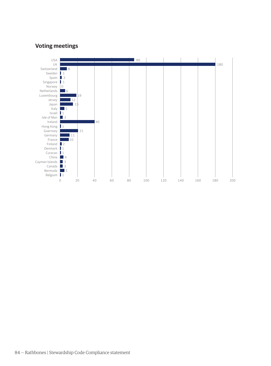### **Voting meetings**